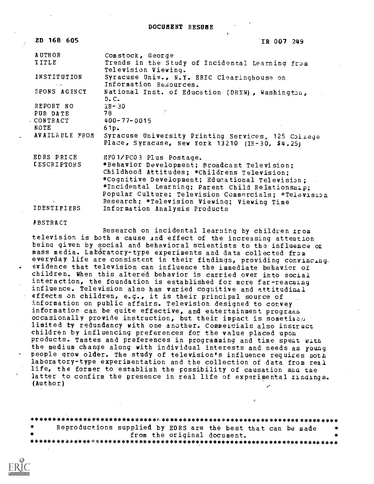4

| ED 168 605           | IR 007 249                                                                  |
|----------------------|-----------------------------------------------------------------------------|
| <b>AUTHOR</b>        | Comstock, George                                                            |
| TITLE                | Trends in the Study of Incidental Learning from<br>Television Viewing.      |
| INSTITUTION          | Syracuse Univ., N.Y. ERIC Clearinghouse on<br>Information Resources.        |
| mar.<br>SPONS AGENCY |                                                                             |
|                      | National Inst. of Education (DHEW), Washington,<br>$D_{\bullet}C_{\bullet}$ |
| REPORT NO            | IR-30                                                                       |
| PUB DATE             | 78                                                                          |
| CONTRACT CONTRACT    | 400-77-0015                                                                 |
| NOTE                 | 61p.                                                                        |
| AVAILABLE FROM       | Syracuse University Printing Services, 125 College                          |
|                      | Place, Syracuse, New York 13210 (IR-30, \$4.25)                             |
| EDRS PRICE           | MF01/PC03 Plus Postage.                                                     |
| <b>LESCRIPTORS</b>   | *Behavior Development; Broadcast Television;                                |
|                      | Childhood Attitudes; *Childrens Television;                                 |
|                      | *Cognitive Development; Educational Television;                             |
|                      | *Incidental Learning; Parent Child Relationsnip;                            |
|                      | Popular Culture; Television Commercials; *Television                        |
| $\mathcal{N}$        | Research; *Television Viewing; Viewing Time                                 |
| IDENTIFIERS          | Information Analysis Products                                               |

ABSTRACT

Research on incidental learning by children from television is both a cause And effect of the increasing attention being given by social and behavioral scientists to the influence of mass media. Lab6ratory-type experiments and data collected from everyday life are consistent in their findings, providing convincing, evidence that television can influence the immediate behavior of children. When this altered behavior is carried over into social interaction, the foundation is established for more far-reacning influence. Television also has varied cognitive and attitudinal effects on children, e.g., it is their principal source of information on public affairs. Television. designed to convey information can be quite effective, and entertainment programs occasionally provide instruction, but their impact is sometimes limited by redundancy with one another. Commercials also instruct children by influencing preferences for the value placed upon products. Tastes and preferences in programming and time spent with the medium change along with individual interests and needs as young people grow older. The study of television's influence requires both laboratory-type experimentation and the collection of data from real life, the former to establish the possibility of causation ana the latter to confirm the presence in real life of experimental findings. (Author)

\*\*\*\*\*\*\*\*\*\*\*\*\*\*\*\*\*\*\*\*\*\*\*\*\*\*\*\*\*Y.\*\*\*\*\*\*\*\*\*\*\*\*\*\*\*\*\*\*\*\*\*\*\*\*\*\*\*\*\*\*\*\*\*\*\*\*\*\*\*\*\* Reproductions supplied by EDRS are the best that can be made from the original document. \*\*\*\*\*\*\*\*\*\*\*\*\*\*\*4:\*\*\*\*\*\*\*\*\*\*\*\*\*\*\*\*\*\*\*\*\*\*\*.\*\*\*\*\*\*\*\*\*\*\*\*\*\*\*\*\*\*\*\*\*\*\*\*\*\*\*\*\*\*\*\*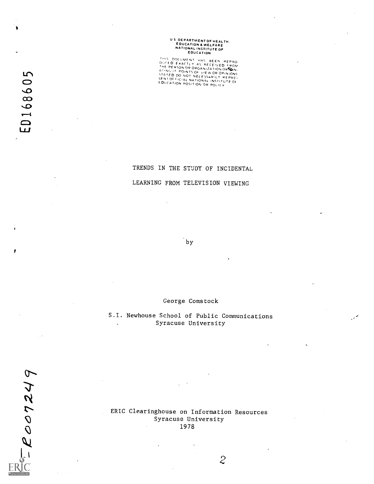# U S DEPARTMENT OF HEALTH.<br>EDUCATION & WELFARE<br>NATIONAL INSTITUTE OF<br>EDUCATION

THIS DOCUMENT HAS BEEN REPRO-<br>DUCTD EXACTLY AS PECEIVED FROM<br>THE PERSON OP OPACATIONS<br>ATING IT POINTS OF VIEW OR OPINIS<br>STATED DO NOT NECESSARILY REPRE-<br>SENTOLOGION OF NECESSARILY REPRE-SENT OF FICIAL NATIONAL INSTITUTE OF THE SENT OF FICIAL NATIONAL INSTITUTE OF THE SENTED TO THE SENTED THE SENTED TO THE SENTED THE SENTED THAT A STRESS OF THE SENTED THAT A STRESS OF THE SENTED THAT A STRESS OF THE SENTED

> TRENDS IN THE STUDY OF INCIDENTAL LEARNING FROM TELEVISION VIEWING

> > by

 $\lambda$ 

George Comstock

#### S.I. Newhouse School of Public Communications Syracuse University  $\ddot{\phantom{a}}$

ERIC Clearinghouse on Information Resources Syracuse University 1978

 $\lambda$ 

2007249

 $\mathcal{Z}$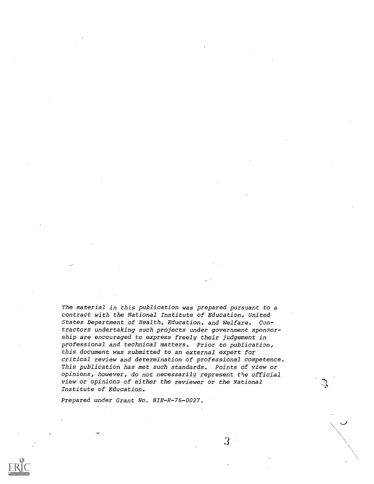The material in this publication was prepared pursuant to a contract with the National Institute of Education, United States Department of Health, Education, and Welfare. Contractors undertaking such projects under government sponsorship are encouraged to express freely their judgement in professional and technical matters. Prior to publication, this document was submitted to an external expert for critical review and determination of professional competence. This publication has met such standards. Points of view or opinions, however, do not necessarily represent the official view'or opinions of either the reviewer or the National Institute of Education.

3

Prepared under Grant No. NIE-R-76-0027.

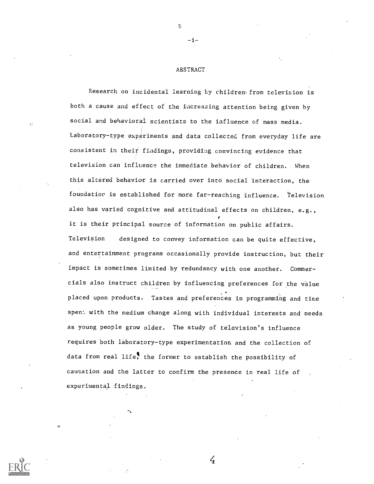#### ABSTRACT

-i-

Research on incidental learning by children from television is both a cause and effect of the increasing attention being given by social and behavioral scientists to the influence of mass media. Laboratory-type experiments and data collected from everyday life are consistent in their findings, providing convincing evidence that television can influence the immediate behavior of children. When this altered behavior is carried over into social interaction, the foundatior is established for more far-reaching influence. Television also has varied cognitive and attitudinal effects on children, e.g., it is their principal source of information on public affairs. Television designed to convey information can be quite effective, and entertainment programs occasionally provide instruction, but their impact is sometimes limited by redundancy with one another. Commercials also instruct children by influencing preferences for the value placed upon products. Tastes and preferences in programming and time spen: with the medium change along with individual interests and needs as young people grow older. The study of television's influence requires both laboratory-type experimentation and the collection of data from real life, the former to establish the possibility of causation and the latter to confirm the presence in real life of experimental findings.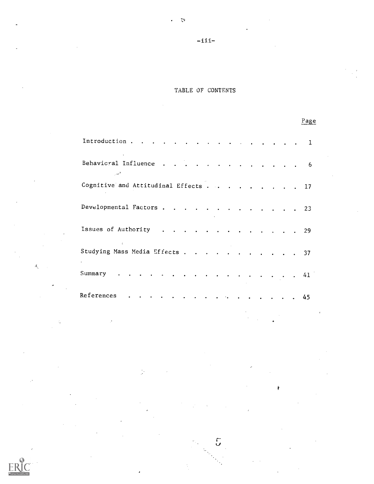# $-i$ ii-

 $\mathcal{L}$ 

 $\epsilon$ 

## TABLE OF CONTENTS

Page

| Introduction 1                                     |             |  |  |  |  |  |  |  |
|----------------------------------------------------|-------------|--|--|--|--|--|--|--|
| Behavioral Influence 6<br>المختصب                  |             |  |  |  |  |  |  |  |
| Cognitive and Attitudinal Effects 17               |             |  |  |  |  |  |  |  |
| Developmental Factors 23                           |             |  |  |  |  |  |  |  |
| Issues of Authority 29<br><b>Contract Contract</b> |             |  |  |  |  |  |  |  |
| Studying Mass Media Effects 37<br>$\bullet$        |             |  |  |  |  |  |  |  |
| Summary                                            | . 41        |  |  |  |  |  |  |  |
| References                                         | . <b>45</b> |  |  |  |  |  |  |  |

 $\tilde{\mathcal{L}}$ 

Ý



 $\mathcal{L}_{\mathcal{A}}$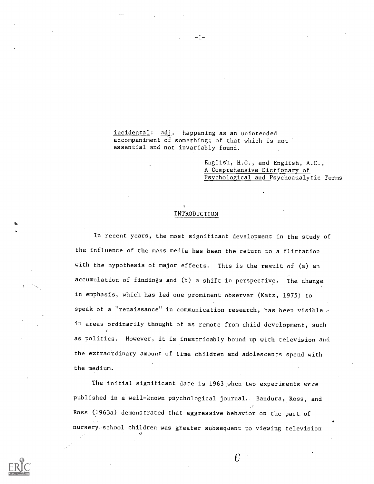incidental: adj. happening as an unintended accompaniment of something; of that which is not essential and not invariably found.

> English, H.G., and English, A.C., A Comprehensive Dictionary of Psychological and Psychoanalytic Terms

### INTRODUCTION

In recent years, the most significant development in the study of the influence of the mass media has been the return to a flirtation with the hypothesis of major effects. This is the result of (a) an accumulation of findings and (b) a shift in perspective. The change in emphasis, which has led one prominent observer (Katz, 1975) to speak of a "renaissance" in communication research, has been visible in areas ordinarily thought of as remote from child development, such as politics. However, it is inextricably bound up with television and the extraordinary amount of time children and adolescents spend with the medium.

The initial significant date is 1963 when two experiments were published in a well-known psychological journal. Bandura, Ross, and Ross (1963a) demonstrated that aggressive behavior on the pait of nursery-school children was greater subsequent to viewing television"



-1-

 $\epsilon$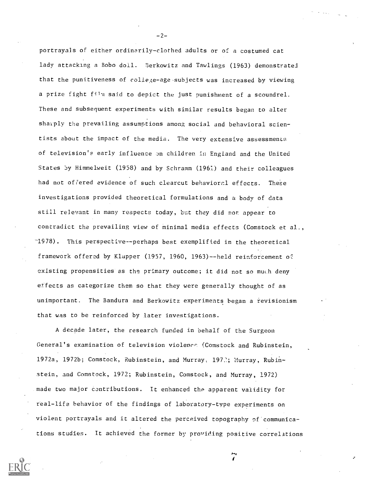portrayals of either ordinarily- clothed adults or of a costumed cat lady attacking a Bobo doll. Berkowitz and Tawlings (1963) demonstrated that the punitiveness of college-age subjects was increased by viewing a prize fight fil'a said to depict the just punishment of a scoundrel. These and subsequent experiments with similar results began to alter sharply the prevailing assumptions among social and behavioral scientists about the impact of the media. The very extensive assessment: of television's early influence on children in England and the United States by Himmelweit (1958) and by Schramm (1961) and their colleagues had not offered evidence of such clearcut behavioral effects. These investigations provided theoretical formulations and a body of data still relevant in many respects today, but they did nor appear to contradict the prevailing view of minimal media effects (Comstock et al., -1978). This perspective--perhaps best exemplified in the theoretical framework offered by Klapper (1957, 1960, 1963)--held reinforcement of existing propensities as the primary outcome; it did not so much deny effects as categorize them so that they were generally thought of as unimportant. The Bandura and Berkowitz experiments began a revisionism that was to be reinforced by later investigations.

A decade later, the research funded in behalf of the Surgeon General's examination of television violence (Comstock and Rubinstein, 1972a, 1972b; Comstock, Rubinstein, and Murray, 1972; Murray, Rubinstein, and Comstock, 1972; Rubinstein, Comstock, and Murray, 1972) made two major contributions. It enhanced the apparent validity for real-life behavior of the findings of laboratory-type experiments on violent portrayals and it altered the perceived topography of communications studies. It achieved the former by providing positive correlations

 $-2-$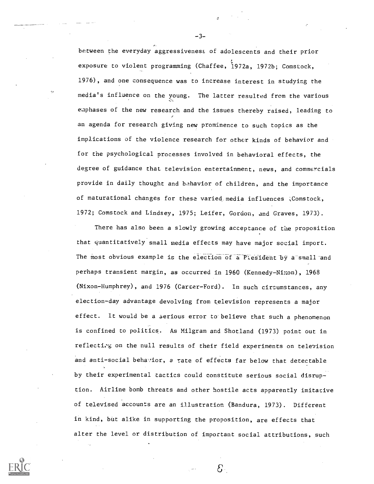between the everyday aggressiveness of adolescents and their prior exposure to violent programming (Chaffee, I972a, 1972b; Comstock, 1976), and one consequence was to increase interest in studying the media's influence on the young. The latter resulted from the various emphases of the new research and the issues thereby raised, leading to an agenda for research giving new prominence to such topics as the implications of the violence research for other kinds of behavior and for the psychological processes involved in behavioral effects, the degree of guidance that television entertainment, news, and commercials provide in daily thought and behavior of children, and the importance of maturational changes for these varied. media influences ;Comstock, 1972; Comstock and Lindsey, 1975; Leifer, Gordon, and Graves, 1973).

There has also been a slowly growing acceptance of the proposition that quantitatively small media effects may have major social import. The most obvious example is the election of a Piesident by a small and perhaps transient margin, as occurred in 1960 (Kennedy-Nixon), 1968 (Nixon-Humphrey), and 1976 (Carter-Ford). In such circumstances, any election-day advantage devolving from television represents a major effect. It would be a serious error to.believe that such a phenomenon is confined to politics. As Milgram and Shotland (1973) point out in reflectiog on the null results of their field experiments on television and anti-social behavior, a rate of effects far below that detectable by their experimental tactics could constitute serious social disruption. Airline bomb threats and other hostile acts apparently imitative of televised accounts are an illustration (Bandura, 1973). Different in kind, but alike in supporting the proposition, are effects that alter the level or distribution of important social attributions, such

ε.

-3-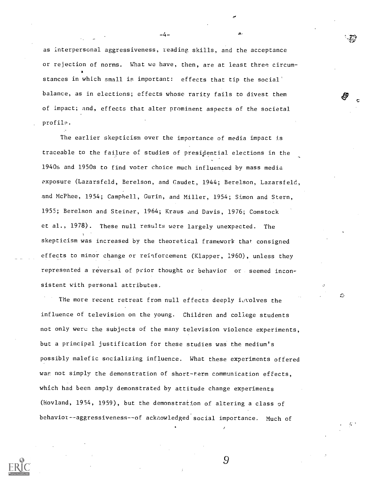as interpersonal aggressiveness, reading skills, and the acceptance or rejection of norms. What we have, then, are at least three circumstances in which small is important: effects that tip the social' balance, as in elections; effects whose rarity fails to divest them of impact; and, effects that alter prominent aspects of the societal profile.

-4-

The earlier skepticism over the importance of media impact is traceable to the failure of studies of presidential elections in the 1940s and 1950s to find voter choice much influenced by mass media exposure (Lazarsfeld, Berelson, and Caudet, 1944; Berelson, Lazarsfeld, and McPhee, 1954; Campbell, Gurin, and Miller, 1954; Simon and Stern, 1955; Berelson and Steiner, 1964; Kraus and Davis, 1976; Comstock et al., 1978). These null results were largely unexpected. The skepticism was increased by the theoretical framework that consigned effects to minor change or reinforcement (Klapper, 1960), unless they represented a reversal of prior thought or behavior or seemed inconsistent with personal attributes.

The more recent retreat from null effects deeply involves the influence of television on the young. Children and college students not only were the subjects of the many television violence experiments, but a principal justification for these studies was the medium's possibly malefic socializing influence. What these experiments offered was not simply the demonstration of short-term communication effects, which had been amply demonstrated by attitude change experiments (Hovland, 1954, 1959), but the demonstration of altering a class of behavior--aggressiveness--of acknowledged social importance. Much of

9

£,

 $\mathcal{L}$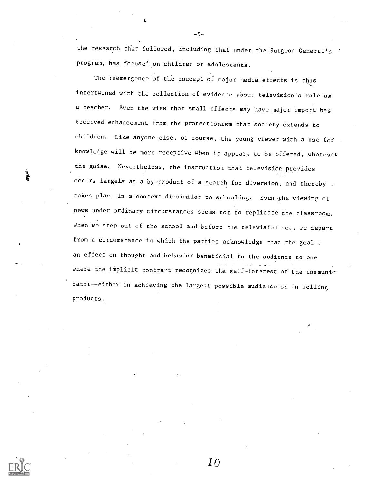the research that followed, including that under the Surgeon General's program, has focused on children or adolescents.

-5-

The reemergence of the concept of major media effects is thus intertwined with the collection of evidence about television's role as a teacher. Even the view that small effects may have major import has received enhancement from the protectionism that society extends to children. Like anyone else, of course, the young viewer with a use for knowledge will be more receptive when it appears to be offered, whatever the guise. Nevertheless, the instruction that television provides occurs largely as a by-product of a search for diversion, and thereby takes place in a context dissimilar to schooling. Even the viewing of news under ordinary circumstances seems not to replicate the classroom. When we step out of the school and before the television set, we depart from a circumstance in which the parties acknowledge that the goal j an effect on thought and behavior beneficial to the audience to one where the implicit contrant recognizes the self-interest of the communicator--elthei in achieving the largest possible audience or in selling products.

 $\bm{10}$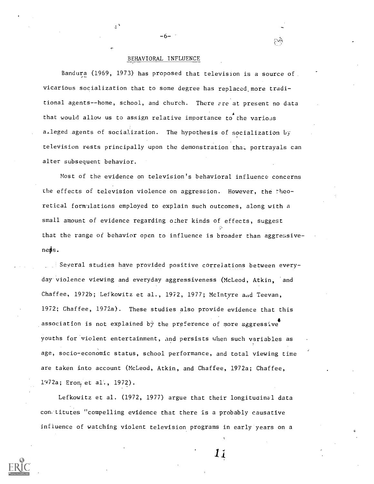### BEHAVIORAL INFLUENCE

-6-

Bandura (1969, 1973) has proposed that television is a source of vicarious socialization that to some degree has replaced, more traditional agents--home, school, and church. There are at present no data that would allow us to assign relative importance to the various a,leged .agents of socialization. The hypothesis of socialization by television rests principally upon the demonstration that portrayals can alter subsequent behavior.

Most of the evidence on television's behavioral influence concerns the effects of television violence on aggression. However, the theoretical formulations employed to explain such outcomes, along with a small amount of evidence regarding other kinds of effects, suggest that the range of behavior open to influence is broader than aggressiveness.

Several studies have provided positive correlations between everyday-violence viewing and everyday aggressiveness (McLeod, Atkin, and Chaffee, 1972b; Lefkowitz et al., 1972, 1977; McIntyre and Teevan, 1972; Chaffee, 1972a). These studies also provide evidence that this association is not explained by the preference of more aggressive youths for violent entertainment, and persists when such variables as age, socio-economic status, school performance, and total viewing time are taken into account (McLeod, Atkin, and Chaffee, 1972a; Chaffee, 1972a; Eron, et al., 1972).

Lefkowitz et al. (1972, 1977) argue that their longituoinal data con..titutes "compelling evidence that there is a probably causative influence of watching violent television programs in early years on a

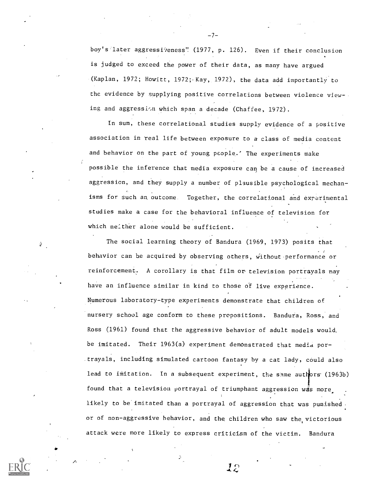boy's later aggressiveness" (1977, p. 126). Even if their conclusion is judged to exceed the power of their data, as many have argued (Kaplan, 1972; Howitt, 1972; Kay, 1972), the data add importantly to the evidence by supplying positive correlations between violence view-. ing and aggression which span a decade (Chaffee, 1972).

-7-

In sum, these correlational studies supply evidence of a positive association in real life between exposure to a class of media content and behavior on the part of young people.' The experiments make possible the inference that media exposure can be a cause of increased aggression, and they supply a number of plausible psychological mechanisms for such an, outcome. Together, the correlational and experimental studies make a case for the behavioral influence of television for which neither alone would be sufficient.

The social learning theory of Bandura (1969, 1973) posits that behavior can he acquired by observing others, without performance or reinforcement. A corollary is that film or television portrayals may have an influence similar in kind to those of live experience. Numerous laboratory-type experiments demonstrate that children of nursery school age conform to these propositions. Bandura, Ross, and Ross (1961) found that the aggressive behavior of adult models would, be imitated. Their 1963(a) experiment demonstrated that media portrayals, including simulated cartoon fantasy by a cat lady, could also lead to imitation. In a subsequent experiment, the same authors (1963b) 1° found that a television portrayal of triumphant aggression was more likely to be imitated than a portrayal of aggression that was punished. or of non-aggressive behavior, and the children who saw the victorious attack were more likely to express criticism of the victim. Bandura

**a** and a state

ŵ.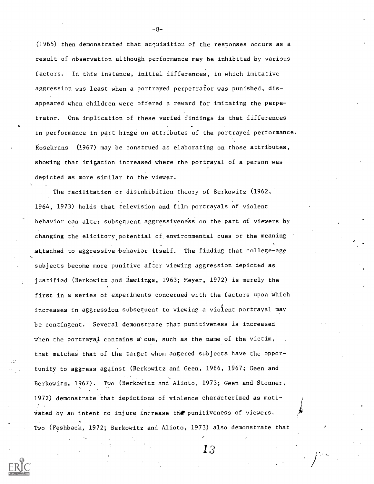(]965) then demonstrated that acquisition of the responses occurs as a result of observation although performance may be inhibited by various factors. In this instance, initial differences, in which imitative aggression was least when a portrayed perpetrator was punished, disappeared when children were offered a reward for imitating the perpetrator. One implication of these varied findings is that differences in performance in part hinge on attributes of the portrayed performance. Rosekrans (1967) may be construed as elaborating on those attributes, showing that imitation increased where the portrayal of a person was depicted as more similar to the viewer.

The facilitation or disinhibition theory of Berkowitz (1962, 1964, 1973) holds that television and film portrayals of violent behavior can alter subsequent aggressiveness on the part of viewers by changing the elicitory potential of environmental cues or the meaning attached to aggressive-behavior itself. The finding that college-age subjects become more punitive after viewing aggression depicted as justified (Berkowitz and Rawlings, 1963; Meyer, 1972) is merely the first in a series of experiments concerned with the factors upon which increases in aggression subsequent to viewing a violent portrayal may be contingent. Several demonstrate that punitiveness is increased when the portrayal contains a cue, such as the name of the victim, that matches that of the target whom angered subjects have the opportunity to aggress against (Berkowitz and Geen, 1966, 1967; Geen and Berkowitz, 1967). Two (Berkowitz and Alioto, 1973; Geen and Stonner, 1972) demonstrate that depictions of violence characterized as motivated by an intent to injure increase the punitiveness of viewers. Two (Feshback, 1972; Berkowitz and Alioto, 1973) also demonstrate that

 $\mathfrak{13}$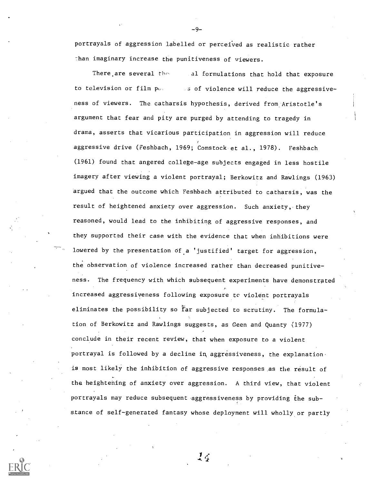portrayals of aggression labelled or perceived as realistic rather Than imaginary increase the punitiveness of viewers.

-9-

There are several the all formulations that hold that exposure to television or film  $p_{\theta}$  and sof violence will reduce the aggressiveness of viewers. The catharsis hypothesis, derived from Aristotle's argument that fear and pity are purged by attending to tragedy in drama, asserts that vicarious participation in aggression will reduce aggressive drive (Feshbach, 1969; Comstock et al., 1978). Feshbach (1961) found that angered college-age subjects engaged in less hostile imagery after viewing a violent portrayal; Berkowitz and Rawlings (1963) argued that the outcome which Feshbach attributed to catharsis, was the result of heightened anxiety over aggression. Such anxiety, they reasoned, would lead to the inhibiting of aggressive responses, and they supported their case with the evidence that when inhibitions were lowered by the presentation of a 'justified' target for aggression, the observation of violence increased rather than decreased punitiveness. The frequency with which subsequent experiments have demonstrated increased aggressiveness following exposure to violent portrayals eliminates the possibility so far subjected to scrutiny. The formulation of Berkowitz and Rawlings suggests, as Geen and Quanty (1977) conclude in their recent review, that when exposure to a violent portrayal is followed by a decline in aggressiveness, the explanation. is most likely the inhibition of aggressive responses as the result of the heightening of anxiety over aggression. A third view, that violent portrayals may reduce subsequent aggressiveness by providing the substance of self-generated fantasy whose deployment will wholly or partly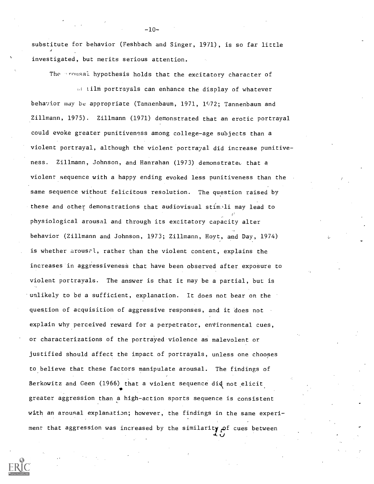substitute for behavior (Feshbach and Singer, 1971), is so far little  $\mathcal{A}$  and  $\mathcal{A}$ investigated, but merits serious attention.

The prousal hypothesis holds that the excitatory character of

 $\mathbb{R}$  iilm portrayals can enhance the display of whatever behavior may be appropriate (Tannenbaum, 1971, 1972; Tannenbaum and Zillmann, 1975). Zillmann (1971) demonstrated that an erotic portrayal could evoke greater punitiveness among college-age subjects than a violent portrayal, although the violent portrayal did increase punitiveness. Zillmann, Johnson, and Hanrahan (1973) demonstrated that a violent sequence with a happy ending evoked less punitiveness than the same sequence without felicitous resolution. The question raised by these and other demonstrations that audiovisual stimili may lead to physiological arousal and through its excitatory capacity alter behavior (Zillmann and Johnson, 1973; Zillmann, Hoyt, and Day, 1974) is whether arousal, rather than the violent content, explains the increases in aggressiveness that have been observed after exposure to violent portrayals. The answer is that it may be a partial, but is unlikely to be a sufficient, explanation. It does not bear on the question of acquisition of aggressive responses, and it 'does not explain why perceived reward for a perpetrator, environmental cues, or characterizations of the portrayed violence as malevolent or justified should affect the impact of portrayals, unless one chooses to believe that these factors manipulate arousal. The findings of Berkowitz and Geen (1966) that a violent sequence did not elicit greater aggression than a high-action sports sequence is consistent with an arousal explanation; however, the findings in the same experiment that aggression was increased by the similarity  $\rho$ f cues between

-10-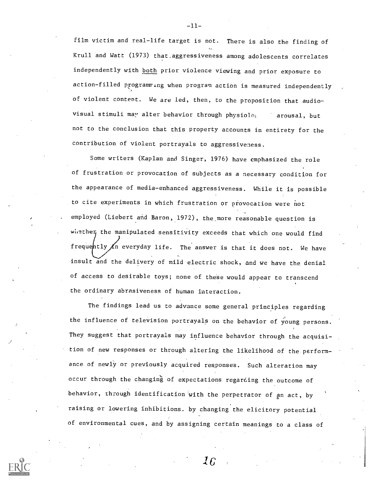film victim and real-life target is not. There is also the finding of Krull and Watt (1973) that.aggressiveness among adolescents correlates independently with both prior violence viewing and prior exposure to action-filled programming when program action is measured independently of violent content. We are led, then, to the proposition that audiovisual stimuli may alter behavior through physiolo, arousal, but not to the conclusion that this property accounts in entirety for the contribution of violent portrayals to aggressiveness.

Some writers (Kaplan and Singer, 1976) have emphasized the role of frustration or provocation of subjects as a necessary condition for the appearance of media-enhanced aggressiveness. While it is possible to cite experiments in which frustration or provocation were not employed (Liebert and Baron, 1972), the.more reasonable question is whether the manipulated sensitivity exceeds that which one would find frequently  $\Lambda$ n everyday life. The answer is that it does not. We have insult and the delivery of mild electric shock, and we have the denial of access to desirable toys; none of these would appear to transcend the ordinary abrasiveness of human interaction.

The findings lead us to advance some general principles regarding the influence of television portrayals on the behavior of young persons. They suggest that portrayals may influence behavior through the acquisition of new responses or through altering the likelihood of the performance of newly or previously acquired responses. Such alteration may occur through the changing of expectations regarding the outcome of behavior, through identification with the perpetrator of an act, by raising or lowering inhibitions. by changing the elicitory potential of environmental cues, and by assigning certain meanings to a class of

-11-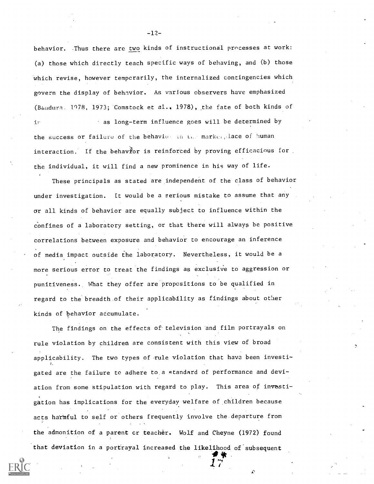behavior. Thus there are two kinds of instructional processes at work: (a) those which directly teach specific ways of behaving, and (b) those which revise, however temporarily, the internalized contingencies which govern the display of behavior. As various observers have emphasized (Bandura, 1978, 1973; Comstock et al., 1978), the fate of both kinds of as long-term influence goes will be determined by  $i$ r the success or failure of the behavior in the marker place of human interaction. If the behavior is reinforced by proving efficacious for. the individual, it will find a new prominence in his way of life.

These principals as stated are independent of the class of behavior under investigation. It would be a serious mistake to assume that any or all kinds of behavior are equally subject to influence within the confines of a laboratory setting, or that there will always be positive correlations between exposure and behavior to encourage an inference of media impact outside the laboratory. Nevertheless, it would be a more serious error to treat the findings as exclusive to aggression or punitiveness. What they offer are propositions to be qualified in regard to the breadth of their applicability as findings about other kinds of behavior accumulate.

The findings on the effects of television and film portrayals on , *,* rule violation by children are consistent with this view of broad applicability. The two types of rule violation that have been investigated are the failure to adhere to ,a ctandard of performance and deviation from some stipulation with regard to play. This area of investigation has implications for the everyday welfare of children because acts harmful to self or others frequently involve the departure from the admonition of a parent cr teacher. Wolf and Cheyne (1972) found that deviation in a portrayal increased the likelihood of'subsequent

4Plit

1 7"

-12-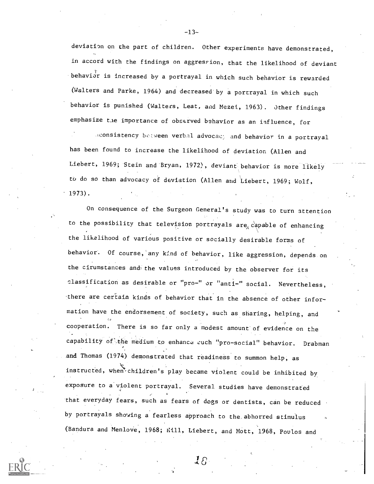deviation on the part of children. Other experiments have demonstrated, in accord with the findings on aggression, that the likelihood of deviant behavior is increased by a portrayal in which such behavior is rewarded (Walters and Parke, 1964) and decreased by a portrayal in which such behavior is punished (Walters, Leat, and Mezei, 1963). Other findings emphasize the importance of observed behavior as an influence, for

.consistency between verbil advocac: and behavior in a portrayal has been found to increase the likelihood of deviation (Allen and Liebert, 1969; Stein and Bryan, 1972), deviant behavior is more likely to do so than advocacy of deviation (Allen and Liebert, 1969; Wolf, 1973).

On consequence of the Surgeon General's study was to turn attention to the possibility that television portrayals are  $c$  epable of enhancing the likelihood of various positive or socially desirable forms of behavior. Of course, any kind of behavior, like aggression, depends on the cirumstances and the values introduced by the observer for its classification as desirable or "pro-" or "anti-" social. Nevertheless, there are certain kinds of behavior that in the absence of other information have the endorsement of society, such as sharing, helping, and cooperation. There is so far only a modest amount'of evidence on the capability of the medium to enhance such "pro-social" behavior. Drabman and Thomas (1974) demonstrated that readiness to summon help, as instructed, when children's play became violent could be inhibited by exposure to a'violent portrayal. Several studies have demonstrated 'that everyday fears, such as fears of dogs or dentists, can be reduced by portrayals showing a fearless approach to the. abhorred stimulus (Bandura and Menlove, 1968; Kill, Liebert, and Mott, 1968, Poulos and

-13-

 $\mathcal{I} S$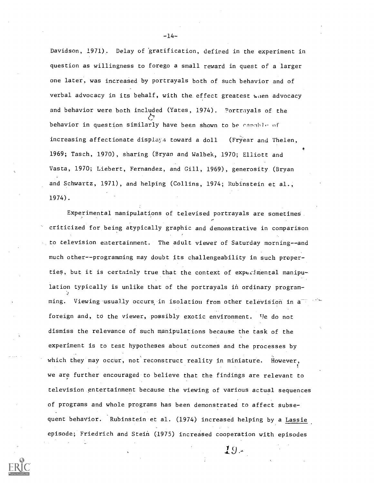Davidson, 1971). Delay of 'gratification, defined in the experiment in question as willingness to forego a small reward in quest of a larger one later, was increased by portrayals both of such behavior and of verbal advocacy in its behalf, with the effect greatest when advocacy and behavior were both included (Yates, 1974). Portrayals of the behavior in question similarly have been shown to be canable of increasing affectionate displays toward a doll (Fryear and Thelen, 1969; Tasch, 1970), sharing (Bryan and Walbek, 1970; Elliott and Vasta, 1970; Liebert, Fernandez, and Gill, 1969), generosity (Bryan and Schwartz, 1971), and helping (Collins, 1974; Rubinstein et al., 1974).

Experimental manipulations of televised portrayals are sometimes criticized for being atypically graphic and demonstrative in comparison to television entertainment. The adult viewer of Saturday morning--and much other--programming may doubt its challengeability in such properties, but it is certainly true that the context of experimental manipulation typically is unlike that of the portrayals in ordinary programming. Viewing usually occurs in isolation from other television in a foreign and, to the viewer, possibly exotic environment. tie do not dismiss the relevance of such manipulations because the task of the experiment is to test hypotheses about outcomes and the processes by which they may occur, not reconstruct reality in miniature. However, we are further encouraged to believe that the findings are relevant to television entertainment because the viewing of various actual sequences of programs and whole programs has been demonstrated to affect subsequent behavior. Rubinstein et al. (1974) increased helping by a Lassie episode; Friedrich and Stein (1975) increased cooperation with episodes

 $19-$ 

 $-14-$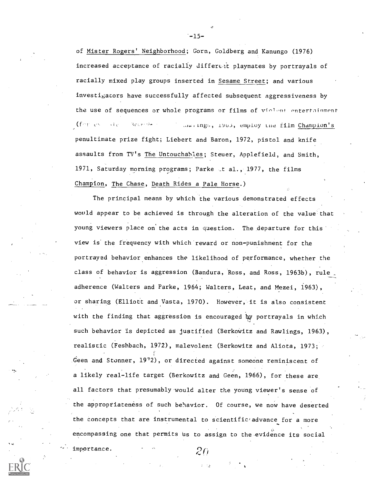of Mister Rogers' Neighborhood; Gorn, Goldberg and Kanungo (1976) increased acceptance of racially different playmates by portrayals of racially mixed play groups inserted in Sesame Street; and various investigators have successfully affected subsequent aggressiveness by the use of sequences or whole programs or films of violent entertainment (for example 3ctribs) (dwitngs, 1903, employ the film Champion's penultimate prize fight; Liebert and Baron, 1972, pistol and knife assaults from TV's The Untouchables; Steuer, Applefield, and Smith, 1971, Saturday morning programs; Parke \_t al., 1977, the films Champion, The Chase, Death Rides a Pale Horse.)

The principal means by which the various demonstrated effects would appear to be achieved is through the alteration of the value that young viewers place on the acts in question. The departure for this view is' the frequency with which reward or non-punishment for the portrayed behavior enhances the likelihood of performance, whether the class of behavior is aggression (Bandura, Ross, and Ross, 1963b), rule adherence (Walters and Parke, 1964; Walters, Leat, and Mezei, 1963), or sharing (Elliott and Vasta, 1970). However, it is also consistent with the finding that aggression is encouraged by portrayals in which such behavior is depicted as justified (Berkowitz and Rawlings, 1963), realistic (Feshbach, 1972), malevolent (Berkowitz and Aliota, 1973; Geen and Stonner, 19'2), or directed against someone reminiscent of a likely real-life target (Berkowitz and Geen, 1966), for these are all factors that presumably 'would alter the young viewer's sense of the appropriateness of such behavior. Of course, we now have deserted the concepts that are instrumental to scientific advance for a more encompassing one that permits us to assign to the evidence its social

importance.

 $-15-$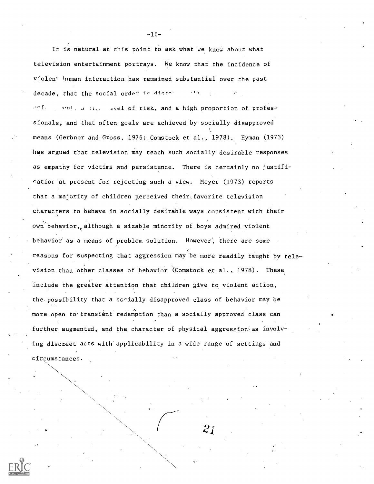It is natural at this point to ask what we know about what television entertainment portrays. We know that the incidence of violent human interaction has remained substantial over the past decade, that the social order in distor enf. When  $x_{i}$  and  $y_{i}$  are  $y_{i}$  of risk, and a high proportion of professionals, and that often goals are achieved by socially disapproved 1, means (Gerbner and Gross, 1976; Comstock et al., 1978). Hyman (1973) has argued that television may teach such socially desirable responses as empathy for victims and persistence. There is certainly no justificatior at present for rejecting such a view. Meyer (1973) reports that a majority of children perceived their favorite television characters to behave in socially desirable ways consistent with their own behavior, although a sizable minority of boys admired violent behavior as a means of problem solution. However, there are some reasons for suspecting that aggression may be more readily taught by television than other classes of behavior (Comstock et al., 1978). These. include the greater attention that children give to violent action, the possibility that a sc-ially disapproved class of behavior may be more open to transient redemption than a socially approved class can further augmented, and the character of physical aggression as involving discreet acts with applicability in a wide range of settings and circumstances.

 $\searrow$ 

-16-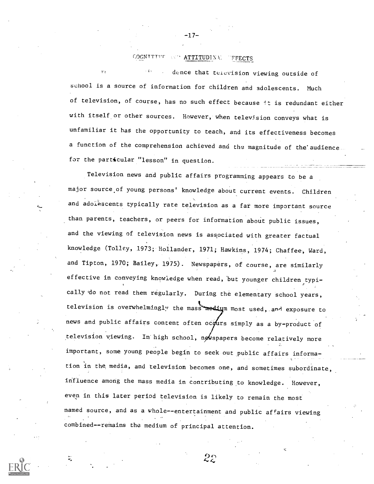#### **COGNTTTVF ATTITUDINAL TFFECTS**

dence that teievision viewing outside of  $\mathbf{r}$ school is a source of information for children and adolescents. Much of television, of course, has no such effect because it is redundant either with itself or other sources. However, when television conveys what is unfamiliar it has the opportunity to teach, and its effectiveness becomes a function of the comprehension achieved and the magnitude of the'audience for the particular "lesson" in question.

Television news and public affairs programming appears to be <sup>a</sup> major source.of young persons' knowledge about current events. Children and adolescents typically rate television as a far more important source than parents, teachers, or peers for information about public issues, and the viewing of television news is associated with greater factual knowledge (Tolley, 1973; Hollander, 1971; Hawkins, 1974; Chaffee, Ward, and Tipton, 1970; Bailey, 1975). Newspapers, of course, are similarly effective in conveying knowledge when read, but younger children typi-, cally 'do not read them regularly. During the elementary school years, television is overwhelmingly the mass medium most used, and exposure to news and public affairs content often ocours simply as a by-product of television viewing. In high school, newspapers become relatively more important, some young people begin to seek out public affairs information in the media, and television becomes one, and sometimes subordinate, influence among the mass media in contributing to knowledge. However, even in this later period television is likely to remain the most named source, and as a whole--entertainment and public affairs viewing combined--remains the medium of principal attention.

-17-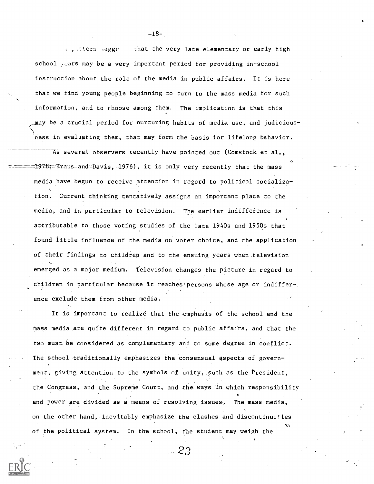$\frac{1}{2}$ , ittern sugge that the very late elementary or early high school years may be a very important period for providing in-school instruction about the role of the media in public affairs. It is here that we find young people beginning to turn to the mass media for such information, and to choose among them. The implication is that this may be a crucial period for nurturing habits of media use, and judicious-  $\sum_{i=1}^n\alpha_i\leq \sum_{i=1}^n\alpha_i$ ness in evaluating them, that may form the basis for lifelong behavior.

As several observers recently have pointed out (Comstock et al., 1978;—Kraus—and-Davis, 1976), it is only very recently that the mass media have begun to receive attention in regard to political socialization. Current thinking tentatively assigns an important place to the media, and in particular to television. The earlier indifference is attributable to those voting studies of the late 1940s and 1950s that found little influence of the media on voter choice, and the application of their findings to children and to the ensuing years when television emerged as a major medium. Television changes the picture in regard to children in particular because it reaches'persons whose age or indiffer-. ence exclude them from other media.

It is important to realize that the emphasis of the school and the mass media are quite different in regard to public affairs, and that the two must be considered as complementary and to some degree in conflict. The school traditionally emphasizes the consensual aspects of government, giving attention to the symbols of unity, such as the President, the Congress, and the Supreme Court, and the ways in which responsibility and power are divided as a means of resolving issues. The mass media, on the other hand, inevitably emphasize the clashes and discontinuities of the political system. In the school, the student may weigh the

 $-2.3$ 

-18-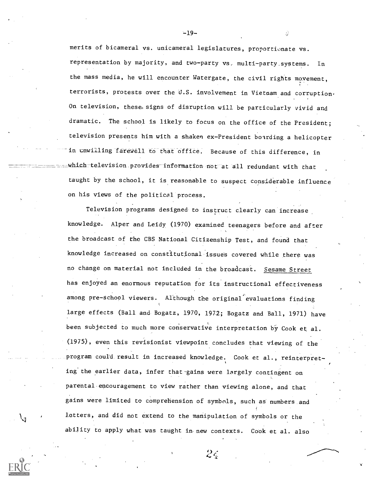merits of bicameral vs. unicameral legislatures, proportionate vs. representation by majority, and two-party vs. multi-party.systems. In the mass media, he will encounter Watergate, the civil rights movement, terrorists, protests over the U.S. involvement in Vietnam and corruption. On television, these signs of disruption will be particularly vivid and dramatic. The school is likely to focus on the office of the President; television presents him with a shaken ex-President boarding a helicopter in unwilling farewell to that office. Because of this difference, in which television provides information not at all redundant with that taught by the school, it is reasonable to suspect considerable influence on his views of the political process.

Television programs designed, to instruct clearly can increase knowledge. Alper and Leidy (1970) examined teenagers before and after the broadcast of the CBS National Citizenship Test, and found that knowledge increased on constitutional issues covered while there was no change on material not included in the broadcast. Sesame Street has enjoyed an enormous reputation for its instructional effectiveness among pre-school viewers. Although the original evaluations finding large effects (Ball and Bogatz, 1970, 1972; Bogatz and Ball, 1971) have been subjected to much more conservative interpretation by Cook et al. (1975), even this revisionist viewpoint concludes that viewing of the program could result in increased knowledge. Cook et al., reinterpreting the earlier data, infer that gains were largely contingent on parental encouragement to view rather than viewing alone, and that gains were limited to comprehension of symbols, such as numbers and letters, and did not extend to the manipulation of symbols or the ability to apply what was taught in new contexts. Cook et al. also

 $2\epsilon$ 

 $-19-$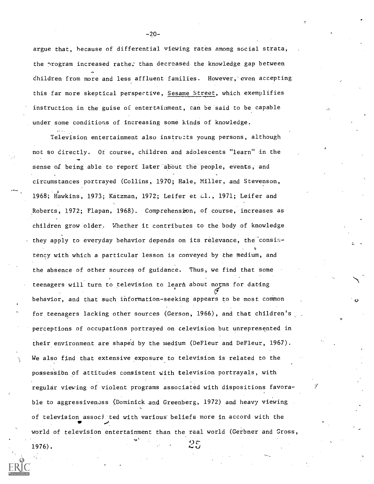argue that, because of differential viewing rates among social strata, the nrogram increased rathe: than decreased the knowledge gap between children from more and less affluent families. However, even accepting this far more skeptical perspective, Sesame Street, which exemplifies instruction in the guise of entertainment, can be said to be capable under some conditions of increasing some kinds of knowledge.

Television entertainment also instructs young persons, although not so directly. Of course, children and adolescents "learn" in the sense of being able to report later about the people, events, and circumstances portrayed (Collins, 1970; Hale, Miller, and Stevenson, 1968; Hawkins, 1973; Katzman, 1972; Leifer et  $\omega$ 1., 1971; Leifer and Roberts, 1972; Flapan, 1968). Comprehension, of course, increases as children grow older, Whether it contributes to the body of knowledge they apply to everyday behavior depends on its relevance, the consisu tency with which a particular lesson is conveyed by the medium, and the absence of other sources of guidance. Thus, we find that some teenagers will turn to television to learn about norms for dating behavior, and that such information-seeking appears to be most common for teenagers lacking other sources (Gerson, 1966), and that children's perceptions of occupations portrayed on television but unrepresented in their environment are shaped by the medium (DeFleur and DeFleur, 1967). We also find that extensive exposure to television is related to the possessibn of attitudes consistent with television portrayals, with regular viewing of violent programs associated with dispositions favorable to aggressiveness (Dominick and Greenberg, 1972) and heavy viewing of television associated with various beliefs more in accord with the world of television entertainment than the real world (Gerbner and Cross,

 $1976$ .

-20-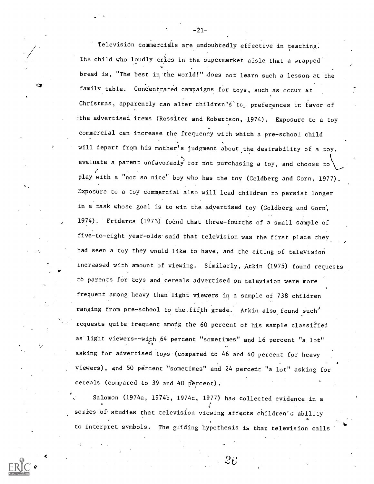Television commercials are undoubtedly effective in teaching. The child who loudly cries in the supermarket aisle that a wrapped bread is, "The best in the world!" does not learn such a lesson at the family table. Concentrated campaigns for toys, such as occur at Christmas, apparently can alter children's toy preferences in favor of the advertised items (Rossiter and Robertson, 1974). Exposure to a toy commercial can increase the frequency with which a pre-schooi child will depart from his mother's judgment about the desirability of a toy, evaluate a parent unfavorably for not purchasing a toy, and choose to play with a "not so nice" boy who has the toy (Goldberg and Gorn, 1977). Exposure to a toy commercial also will lead children to persist longer in a task whose goal is to win the advertised toy (Goldberg and Gorn', 1974). Frideres (1973) foirnd that three-fourths of a small sample of five-to-eight year-olds'said that television was the first place they had seen a toy they would like to have, and the citing of television increased with amount of viewing. Similarly, Atkin (1975) found requests to parents for toys and cereals advertised on television were more frequent among heavy than light viewers in a sample of 738 children ranging from pre-school to the fifth grade. Atkin also found such<sup>3</sup> requests quite frequent among the 60 percent of his sample classified as light viewers--with 64 percent "sometimes" and 16 percent "a lot" asking for advertised toys (compared to 46 and 40 percent for heavy viewers), and 50 percent "sometimes" and 24 percent "a lot" asking for cereals (compared to 39 and 40 percent).

Salomon (1974a, 1974b, 1974c, 1977) has collected evidence in a <sup>7</sup> <sup>1</sup> series of studies that television viewing affects children's ability to interpret symbols. The guiding hypothesis is that television calls

 $\tilde{\phantom{a}}$ 

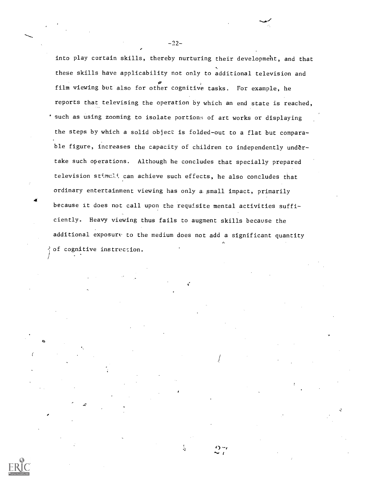into play certain skills, thereby nurturing their development, and that these skills have applicability not only to additional television and film viewing but also for other cognitive tasks. For example, he reports that televising the operation by which an end state is reached, such as using zooming to isolate portions of art works or displaying the steps by which a solid object is folded-out to a flat but comparable figure, increases the capacity of children to independently undertake such operations. Although he concludes that specially prepared television stimuli can achieve such effects, he also concludes that ordinary entertainment viewing has only a. small impact, primarily because it does not call upon the requisite mental activities sufficiently. Heavy viewing thus fails to augment skills because the additional exposure to the medium does not add a significant quantity 1. of cognitive instruccion.

à

 $\hat{\tau}$ 

-22-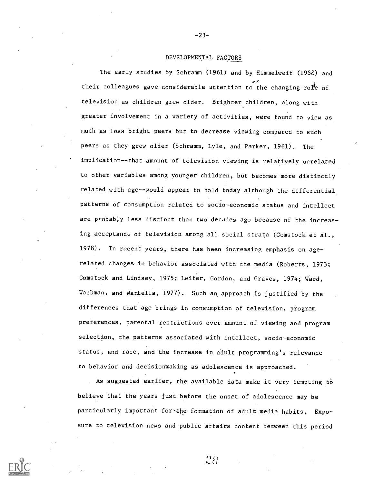### DEVELOPMENTAL FACTORS

The early studies by Schramm (1961) and by Himmelweit (1953) and their colleagues gave considerable attention to the changing role of television as children grew older. Brighter children, along with greater involvement in a variety of activities, were found to view as much as less bright peers but to decrease viewing compared to such peers as they grew older (Schramm, Lyle, and Parker, 1961). The implication--that amount of television viewing is relatively unrelated to other variables among younger children, but becomes more distinctly related with age--would appear to hold today although the differential patterns of consumption related to socio-economic status and intellect are probably less distinct than two decades ago because of the increasing acceptance of television among all social strata (Comstock et al., 1978). In recent years, there has been increasing emphasis on agerelated changes in behavior associated with the media (Roberts, 1973; Comstock and Lindsey, 1975; Leifer, Gordon, and Graves, 1974; Ward, Wackman, and Wartella, 1977). Such an approach is justified by the differences that age brings in consumption of television, program preferences, parental restrictions over amount of viewing and program selection, the patterns associated with intellect, socio-economic status, and race, and the increase in adult programming's relevance to behavior and decisionmaking as adolescence is approached.

As suggested earlier, the available data make it very tempting  $t\ddot{o}$ believe that the years just before the onset of adolescence may be particularly important for the formation of adult media habits. Exposure to television news and public affairs content between this period



 $28$ 

-23-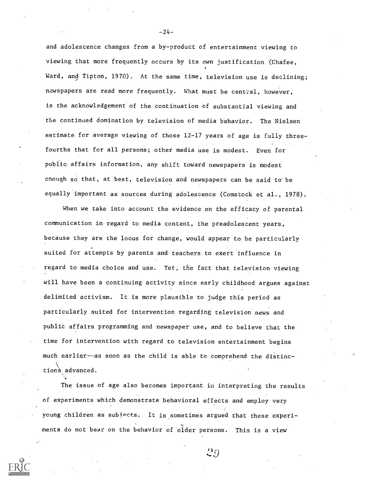and adolescence changes from a by-product of entertainment viewing to viewing that more frequently occurs by its own justification (Chafee, Ward, and Tipton, 1970). At the same time, television use is declining; newspapers are read more frequently. What must be central, however, is the acknowledgement of the continuation of substantial viewing and the continued domination by television of media behavior. The Nielsen estimate for average viewing of those 12-17 years of age is fully threefourths that for all persons; other media use is modest. Even for public. affairs information, any shift toward newspapers is modest enough so that, at best, television and newspapers can be said to be equally important as sources during adolescence (Comstock et al., 1978).

When we take into account the evidence on the efficacy of parental communication in regard to media content, the preadolescent'years, because they are the locus for change, would appear to be particularly suited for attempts by parents and teachers to exert influence in regard to media choice and use. Yet, the fact that television viewing will have been a continuing activity since early childhood argues against delimited activism. It is more plausible to judge this period as particularly suited for intervention regarding television news and public affairs programming and newspaper use, and to believe that the time for intervention with regard to television entertainment begins much earlier--as soon as the child is able to comprehend the distinctions advanced.

The issue of age also becomes important in interpreting the results of experiments which demonstrate behavioral effects and employ very young children as subjects. It is sometimes argued that these experiments do not bear on the behavior of older persons. This is a view

29



 $-24-$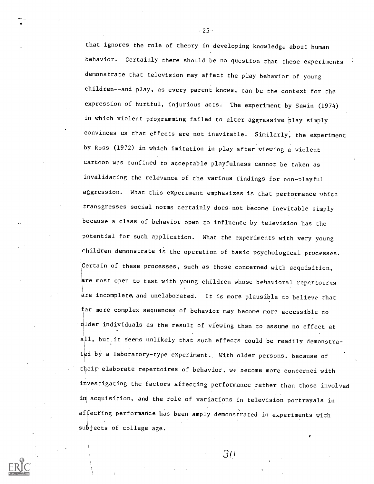that ignores the role of theory in developing knowledge about human behavior. Certainly there should be no question that these experiments demonstrate that television may affect the play behavior of young children--and play, as every parent knows, can be the context for the expression of hurtful, injurious acts. The experiment by Sawin (1974) in which violent programming failed to alter aggressive play simply convinces us that effects are not inevitable. Similarly, the experiment by Ross (1972) in which imitation in play after viewing a violent cartoon was confined to acceptable playfulness cannot be taken as invalidating the relevance of the various findings for non-playful aggression. What this experiment emphasizes is that performance which transgresses social norms certainly does not become inevitable simply because a class of behavior open to influence by television has the potential for such application. What the experiments with very young children demonstrate is the operation of basic psychological processes.  $\overline{C}$ Certain of these processes, such as those concerned with acquisition, are most open to test with young children whose behavioral repertoires  $\frac{1}{4}$ re incomplete and unelaborated. It is more plausible to believe that far more complex sequences of behavior may become more accessible to  $q$ lder individuals as the result of viewing than to assume no effect at all, but, it seems unlikely that such effects could be readily demonstrated by a laboratory-type experiment. With older persons, because of their elaborate repertoires of behavior, we oecome more concerned with investigating the factors affecting performance.rather than those involved in acquisition, and the role of variations in television portrayals in affecting performance has been amply demonstrated in experiments with subjects of college age.

 $-25-$ 

3f)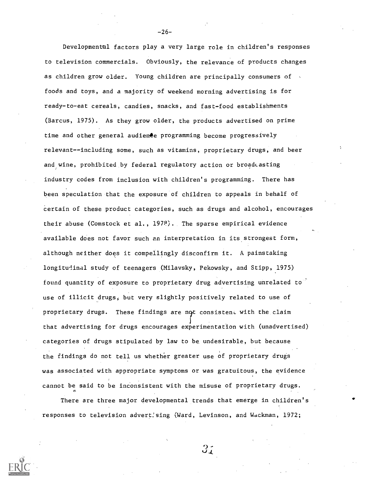Developmental factors play a very large role in children's responses to television commercials. Obviously, the relevance of products changes as children grow older. Young children are principally consumers of  $\sim$ foods and toys, and a majority of weekend morning advertising is for ready-to-eat cereals, candies, snacks, and fast-food establishments (Barcus, 1975). As they grow older, the products advertised on prime time and other general audienee programming become progressively relevant--including some, such as vitamins, proprietary drugs, and beer and wine, prohibited by federal regulatory action or broadcasting industry codes from inclusion with children's programming. There has been speculation that the exposure of children to appeals in behalf of certain of these product categories, such as drugs and alcohol, encourages their abuse (Comstock et al., 1978). The sparse empirical evidence available does not favor such an interpretation in its strongest form, although neither does it compellingly disconfirm it. A painstaking longitudinal study of teenagers (Milavsky, Pekowsky, and Stipp, 1975) found quantity of exposure to proprietary drug advertising unrelated to use of illicit drugs, but very slightly positively related to use of proprietary drugs. These findings are not consistent with the claim ? that advertising for drugs encourages experimentation with (unadvertised) categories of drugs stipulated by law to be undesirable, but because the findings do not tell us whether greater use of proprietary drugs was associated with appropriate symptoms or was gratuitous, the evidence cannot be said to be inconsistent with the misuse of proprietary drugs.

There are three major developmental trends that emerge in children's responses to television advertising (Ward, Levinson, and Wdckman, 1972;

 $3<sub>1</sub>$ 

 $-26-$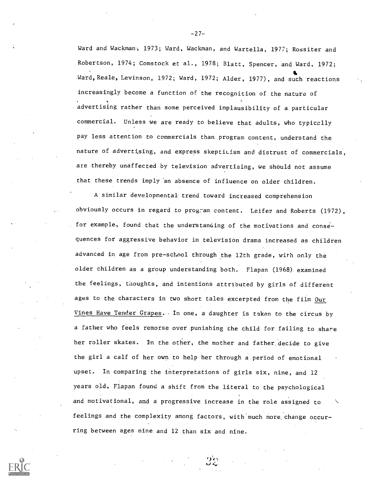Ward and Wackman, 1973; Ward, Wackman, and Wartella, 1977; Rossiter and Robertson, 1974; Comstock et al., 1978; Blatt, Spencer, and Ward, 1972; Ward, Reale, Levinson, 1972; Ward, 1972; Alder, 1977), and such reactions increasingly become a function of the recognition of the nature of 1. advertising rather than some perceived implausibility of a particular commercial. Unless we are ready to believe that adults, who typically pay less attention to commercials than program content, understand the nature of advertising, and express skepticism and distrust of commercials, are thereby unaffected by television advertising, we should not assume that these trends imply an absence of influence on older children.

A similar developmental trend toward increased comprehension obviously occurs in regard to program content. Leifer and Roberts (1972), for example, found that the understanding of the motivations and consequences for aggressive behavior in television drama increased as children advanced in age from pre-school through the 12th grade, with only the older children as a group understanding both. Flapan (1968) examined the feelings, thoughts, and intentions attributed by girls of different ages to the characters in two short tales excerpted from the film Our Vines Have Tender Grapes. - In one, a daughter is taken to the circus by a father who feels remorse over punishing the child for failing to share her roller skates. In the other, the mother and father decide to give the girl a calf of her own to help her through a period of emotional upset. In comparing the interpretations of girls six, nine, and 12 years old, Flapan found a shift from the literal to the psychological and motivational, and a progressive increase in the role assigned to feelings and the complexity among factors, with much more, change occur ring between ages nine and 12 than six and nine.

a

-27-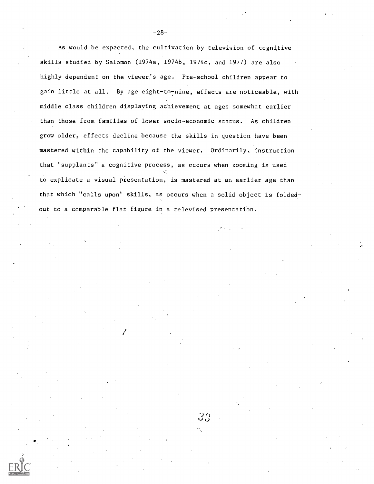As would be expected, the cultivation by television of cognitive skills studied by Salomon (1974a, 1974b, 1974c, and 1977) are also highly dependent on the viewer,'s age. Pre-school children appear to gain little at all. By age eight-to-nine, effects are noticeable, with middle class children displaying achievement at ages somewhat earlier than those from families of lower socio-economic status. As children grow older, effects decline because the skills in question have been mastered within the capability of the viewer. Ordinarily, instruction that "supplants" a cognitive process, as occurs when zooming is used to explicate a visual presentation, is mastered at an earlier age than that which "calls upon" skills, as occurs when a solid object is foldedout to a comparable flat figure in a televised presentation.

 $-28-$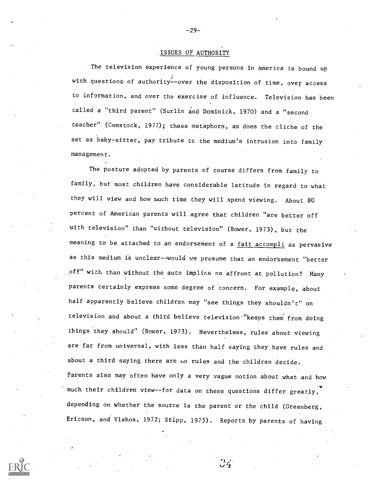#### ISSUES OF AUTHORITY

-29-

The television experience of young persons in America is bound up with questions of authority--over the disposition of time, over access to information, and over the exercise of influence. Television has been called a "third parent" (Surlin and Dominick, 1970) and a "second teacher" (Comstock, 1977); these metaphors, as does the cliche of the set as baby-sitter, pay tribute tc the medium's intrusion into family management.

The posture adopted by parents of course differs from family to family, but most children have considerable latitude in regard to what they will view and how much time they will spend viewing. About 80 percent of American parents will. agree that children "are better off with television" than "without television" (Bower, 1973), but the meaning to be attached to an endorsement of a fait accompli as pervasive as this medium is unclear--would we presume that an endorsement "better off" with than without the auto implies no 'affront at pollution? Many parents certainly express some degree of concern. For example, about half apparently believe children may "see things they shouldn't" on television and about a third believe television "keeps them from doing things'they should" (Bower, 1973). Nevertheless, rules about viewing are far from universal, with less than half saying they, have rules and about a third saying there are no rules and the children decide. Parents also may often have only a very vague notion about what and how much their children view--for data on these questions differ greatly, depending on whether the source is the parent or the child (Greenberg, Ericson, and Vlahos, 1972; Stipp, 1975). Reports by parents of having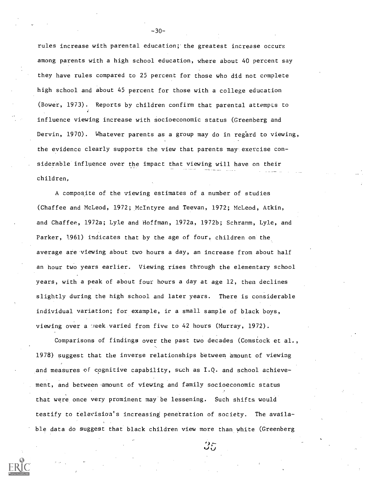rules increase with parental education;' the greatest increase occurs among parents with a high school education, where about 40 percent say they have rules compared to 25 percent for those who did not complete high school and about 45 percent for those with a college education (Bower, 1973). Reports by children confirm that parental attempts to influence viewing increase with socioeconomic status (Greenberg and Dervin, 1970). Whatever parents as a group may do in regard to viewing, the evidence clearly supports the view that parents may exercise considerable influence over the impact that viewing will have on their children,

A composite of the viewing estimates of a number of studies (Chaffee and McLeod, 1972; McIntyre and Teevan, 1972; McLeod, Atkin, and Chaffee, 1972a; Lyle and Hoffman, 1972a, 1972b; Schramm, Lyle, and Parker, 1961) indicates that by the age of four, children on the average are viewing about two hours a day, an increase from about half an hour two years earlier. Viewing rises through the elementary school years, with a peak of about four hours a day at age 12, then declines slightly during the high school and later years. There is considerable individual variation; for example, it a small sample of black boys, viewing over a treek varied from five to 42 hours (Murray, 1972).

Comparisons of findings over the past two decades (Comstock et al., 1978) suggest that the inverse relationships between amount of viewing and measures of cognitive capability, such as I.Q. and school achievement, and between amount of viewing and family socioeconomic status that were once very prominent may be lessening. Such shifts would testify to television's increasing penetration of society. The available data do suggest that black children view more than white (Greenberg

-30-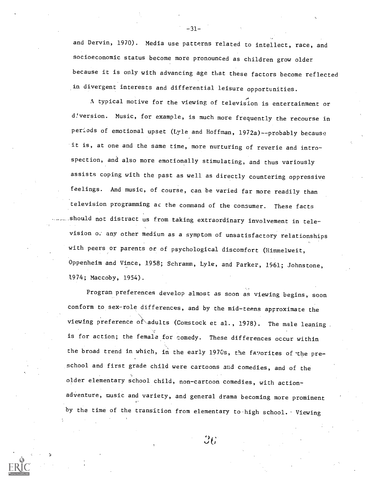and Dervin, 1970). Media use patterns related to intellect, race, and socioeconomic status become more pronounced as children grow older because it is only with advancing age that these factors become reflected in divergent interests and differential leisure opportunities.

A A typical motive for the viewing of television is entertainment or d!version. Music, for example, is much more frequently the recourse in periods of emotional upset (Lyle and Hoffman, 1972a)--probably because it is, at one and the same time, more nurturing of reverie and introspection, and also more emotionally stimulating, and thus variously assists coping with the past as well as directly countering oppressive feelings. And music, of course, can be varied far more readily than television programming ac the command of the consumer. These facts should not distract us from taking extraordinary involvement in television any other medium as a symptom of unsatisfactory relationships with peers or parents or of psychological discomfort (Himmelweit, Oppenheim and Vince, 1958; Schramm, Lyle, and Parker, 1961; Johnstone, 1974; Maccoby, 1954).

Program preferences develop almost as soon as viewing begins, soon conform to sex-role differences, and by the mid-teens approximate the viewing preference of adults (Comstock et al., 1978). The male leaning. is for action; the female for comedy. These differences occur within the broad trend in which, in the early 1970s, the favorites of the preschool and first grade child were cartoons and comedies, and of the older elementary school child, non-cartoon comedies, with actionadventure, music and variety, and general drama becoming more prominent by the time of the transition from elementary to high school. Viewing

 $-31-$ 

 $36\,$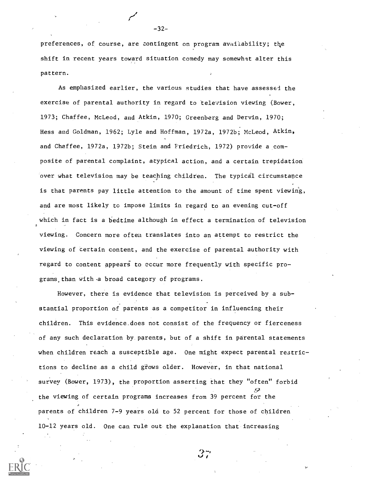preferences, of course, are contingent on program availability; the shift in recent years toward situation comedy may somewhat alter this pattern.

As emphasized earlier, the various studies that have assessed the exercise of parental authority in regard to television viewing (Bower, 1973; Chaffee, McLeod, and Atkin, 1970; Greenberg and Dervin, 1970; Hess and Goldman, 1962; Lyle and Hoffman, 1972a, 1972b; McLeod, Atkin, and Chaffee, 1972a, 1972b; Stein and Friedrich, 1972) provide a composite of parental complaint, atypical action, and a certain trepidation over what television may be teaching children. The typical circumstance is that parents pay little attention to the amount of time spent viewing, and are most likely to impose limits in regard to an evening cut-off which in fact is a bedtime although in effect a termination of television viewing. Concern more often translates into an attempt to restrict the viewing of certain content, and the exercise of parental authority with regard to content appears to occur more frequently with specific programs,than with .a broad category of programs.

However, there is evidence that television is perceived by a substantial proportion of parents as a competitor in influencing their children. This evidence.does not consist of the frequency or fierceness of any such declaration by parents, but of a shift in parental statements when children reach a susceptible age. One might expect parental restrictions to decline as a child grows older. However, in that national survey (Bower, 1973), the proportion asserting that they "often" forbid the viewing of certain programs increases from 39 percent for the parents of children 7-9 years old to 52 percent for those of children 10-12 years old. One can rule out the explanation that increasing

-32-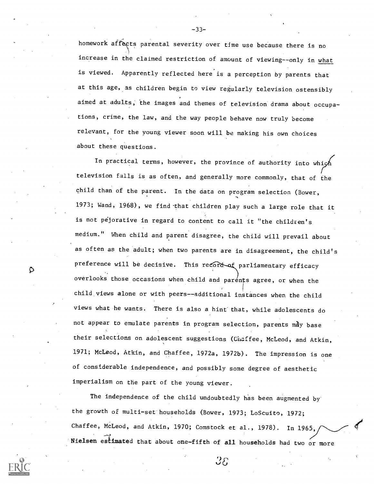homework affects parental severity over time use because there is no increase in the claimed restriction of amount of viewing--only in what is viewed. Apparently reflected here is a perception by parents that at this age, as children begin to view regularly television ostensibly aimed at adults; the images and themes of television drama about occupations, crime, the law, and the way people behave now truly become relevant, for the young viewer soon will be making his own choices about these questions.

In practical terms, however, the province of authority into which television falls is as often, and generally more commonly, that of the child than of the parent. In the data on program selection (Bower,  $\tilde{\phantom{a}}$ 1973; Wand, 1968), we find that children play such a large role that it is not pejorative in regard to content to call it "the children's medium." When child and parent disagree, the child will prevail about as often as the adult; when two parents are in disagreement, the child's preference will be decisive. This record of parliamentary efficacy overlooks those occasions when child and parents agree, or when the child views alone or with peers--additional instances when the child views what he wants. There is also a hint that, while adolescents do not appear to emulate parents in program selection, parents may base their selections on adolescent suggestions (Chaffee, McLeod, and Atkin, 1971; McLeod, Atkin, and Chaffee, 1972a, 1972b). The impression is one of considerable independence, and possibly some degree of aesthetic imperialism on the part of the young viewer.

₽

The independence of the child undoubtedly has been augmented by the growth of multi-set households (Bower, 1973; LoScuito, 1972; Chaffee, McLeod, and Atkin, 1970; Comstock et al., 1978). In 1965, Nielsen estimated that about one-fifth of all households had two or more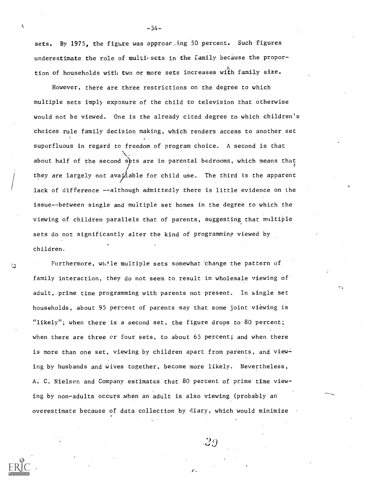sets. By 1975, the figure was approacting 50 percent. Such figures underestimate the role of multi-sets in the family because the proportion of households with two or more sets increases with family size.

However, there are three restrictions on the degree to which multiple sets imply exposure of the child to television that otherwise would not be viewed. One is the already cited degree to which children's choices rule family decision making, which renders access to another set superfluous in regard to freedom of program choice. A second is that  $\sum_{i=1}^n\alpha_i\in\mathbb{Z}^n$ about half of the second sets are in parental bedrooms, which means that  $\mathbf{C}$ they are largely not available for child use. The third is the apparent lack of difference --although admittedly there is little evidence on the issue--between single and multiple set homes in the degree to which the viewing of children parallels that of parents, suggesting that multiple sets do not significantly alter the kind of programming viewed by children.

Furthermore, while multiple sets somewhat change the pattern of family interaction, they do not seem to result in wholesale viewing of adult, prime time programming with parents not present. In single set households, about 95 percent of parents -say that some joint viewing is "likely"; when there is a second set, the figure drops to 80 percent; when there are three er four sets, to about 65 percent; and when there is more than one set, viewing by children apart from parents, and viewing by husbands and wives together, become more likely. Nevertheless, A. C. Nielsen and Company estimates that 80 percent of prime time viewing by non-adults occurs .when an adult is also viewing (probably an overestimate because of data collection by diary, which would minimize

ు

:29

 $\sim$  -34-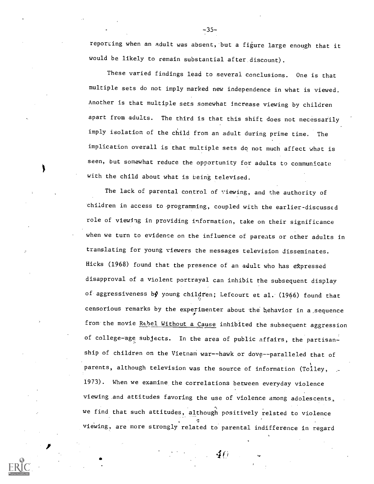reporting when an adult was absent, but a figure large enough that it would be likely to remain substantial after, discount).

-35-

These varied findings lead to several conclusions. One is that multiple sets do not imply marked new independence in what is viewed. Another is that multiple sets somewhat increase viewing by children apart from adults. The third is that this shift does not necessarily imply isolation of the child from an adult during prime time. The implication overall is that multiple sets do not much affect what is seen, but somewhat reduce the opportunity for adults to communicate with the child about what is being televised.

The lack of parental control of viewing, and the authority of children in access to programming, coupled with the earlier-discussed role of viewing in providing information, take on their significance when we turn to evidence on the influence of parents or other adults in translating for young viewers the messages television disseminates. Hicks (1968) found that the presence of an adult who has ekpressed disapproval of a violent portrayal can inhibit the subsequent display of aggressiveness by young children; Lefcourt et al. (1966) found that censorious remarks by the experimenter about the behavior in a:sequence from the movie Rebel Without a Cause inhibited the subsequent aggression of college-age subjects. In the area of public affairs, the partisanship of children on the Vietnam war--hawk or dove--paralleled that of parents, although television was the source of information (Tolley, 1973). When we examine the correlations between everyday violence viewing and attitudes favoring the use of violence among adolescents, we find that such attitudes, although positively related to violence viewing, are more strongly related to parental indifference in regard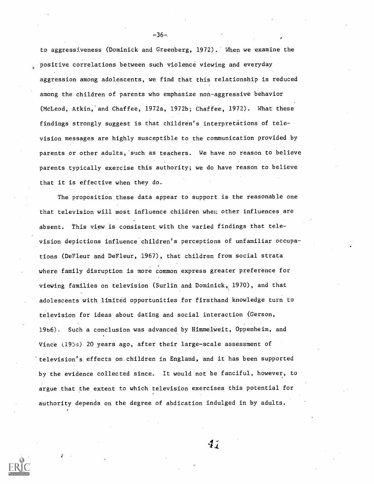to aggressiveness (Dominick and Greenberg, 1972). When we examine the <sup>o</sup> positive correlations between such violence viewing and everyday aggression among adolescents, we find that this relationship is reduced among the children of parents who emphasize non-aggressive behavior (McLeod, Atkin,'and Chaffee, 1972a, 1972b; Chaffee, 1972). What these findings strongly suggest is that children's interpretations of television messages are highly susceptible to the communication provided by parents or other adults, such as teachers. We have no reason to believe parents typically exercise this authority; we do have reason to believe that it is effective when they do.

The proposition these data appear to support is the reasonable one that television will most influence children when other influences are absent. This view is consistent with the varied findings that television depictions influence children's perceptions of unfamiliar occupations (DeFleur and DeFleur, 1967), that children from social strata where family disruption is more common express greater preference for viewing families on television (Surlin and Dominick, 1970), and that adolescents with limited opportunities for firsthand knowledge turn to television for ideas about dating and social interaction (Gerson, 19b6). Such a conclusion was advanced by Himmelweit, Oppenheim, and Vince (1956) 20 years ago, after their large-scale assessment of 'television's effects on children in England, and it has been supported by the evidence collected since. It would not be fanciful, however, to argue that the extent to which television exercises this potential for authority depends on the degree of abdication indulged in by adults.

 $4j$ 

 $-36-$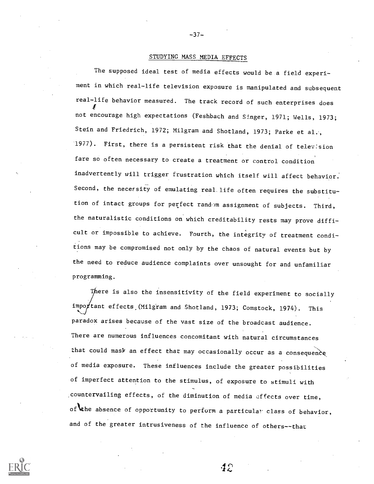## STUDYING MASS MEDIA EFFECTS

-37-

The supposed ideal test of media effects would be a field experiment in which real-life television exposure is manipulated and subsequent real-life behavior measured. The track record of such enterprises does not encourage high expectations (Feshbach and Singer, 1971; Wells, 1973; Stein and Friedrich, 1972; Milgram and Shotland, 1973; Parke et al., 1977). First, there is a persistent risk that the denial of telev:sion fare so often necessary to create a treatment or control condition inadvertently will trigger frustration which itself will affect behavior. Second, the necefsity of emulating real life often requires the substitution of intact groups for perfect random assignment of subjects. Third, the naturalistic conditions on which creditability rests may prove difficult or impossible to achieve. Fourth, the integrity of treatment conditions may be compromised not only by the chaos of natural events but by the need to reduce audience complaints over unsought for and unfamiliar programming.

There is also the insensitivity of the field experiment to socially important effects (Milgram and Shotland, 1973; Comstock, 1974). This paradox arises because of the vast size of the broadcast audience. There are numerous influences concomitant with natural circumstances that could mask an effect that may occasionally occur as a consequence of media exposure. These influences include the greater possibilities of imperfect attention to the stimulus, of exposure to stimuli with .countervailing effects, of the diminution of media affects over time, of the absence of opportunity to perform a particular class of behavior, and of the greater intrusiveness of the influence of others--that

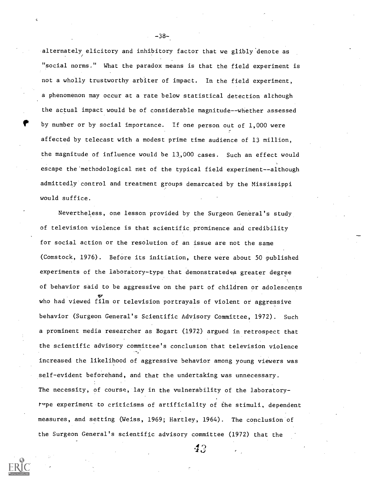alternately elicitory and inhibitory factor that we glibly denote as "social norms." What the paradox means is that the field experiment is not a wholly trustworthy arbiter of impact. In the field experiment, a phenomenon may occur at a rate below statistical detection although the actual impact would be of considerable magnitude--whether assessed by number or by social importance. If one person out of 1,000 were affected by telecast with a modest prime time audience of 13 million, the magnitude of influence would be 13,000 cases. Such an effect would escape the'methodological net of the typical field experiment--although admittedly control and treatment groups demarcated by the Mississippi would suffice.

Nevertheless, one lesson provided by the Surgeon General's study of television violence is that scientific prominence and credibility for social action or the resolution of an issue are not the same (Comstock, 1976). Before its initiation, there were about 50 published experiments of the laboratory-type that demonstrated  $\varphi$ a greater degree of behavior said to be aggressive on the part of children or adolescents who had viewed film or television portrayals of violent or aggressive behavior (Surgeon General's Scientific Advisory Committee, 1972). Such a prominent media researcher as Bogart (1972) argued in retrospect that the scientific advisory committee's conclusion that television violence increased the likelihood of aggressive behavior among young viewers was self-evident beforehand, and that the undertaking was unnecessary. The necessity, of course, lay in the vulnerability of the laboratorytype experiment to criticisms of artificiality of the stimuli, dependent measures, and setting (Weiss, 1969; Hartley, 1964). The conclusion of the Surgeon General's scientific advisory committee (1972) that the

-38-

 $4.3$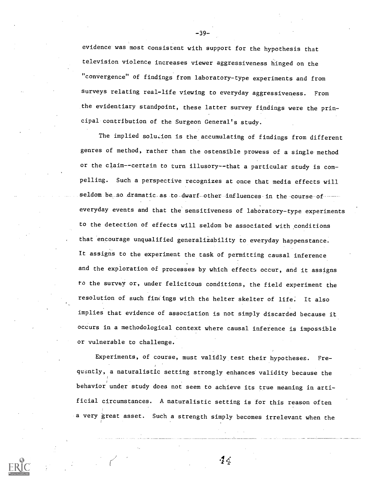evidence was most consistent with support for the hypothesis that television violence increases viewer aggressiveness hinged on the "convergence" of findings from laboratory-type experiments and from surveys relating real-life viewing to everyday aggressiveness. From the evidentiary standpoint, these latter survey findings were the principal contribution of the Surgeon General's study.

The implied solution is the accumulating of findings from different genres of method, rather than the ostensible prowess of a single method or the claim--certain to turn illusory--that a particular study is com pelling. Such a perspective recognizes at once that media effects will seldom be so dramatic as to dwarf other influences in the course of everyday events and that the sensitiveness of laboratory-type experiments to the detection of effects will seldom be associated with conditions that encourage unqualified generalizability to everyday happenstance. It assigns to the experiment the task of permitting causal inference and the exploration of processes by which effects occur, and it assigns to the survey or, under felicitous conditions, the field experiment the resolution of such findings with the helter skelter of life. It also implies that evidence of association is not simply discarded because it occurs in a methodological context where causal inference is impossible or vulnerable to challenge.

Experiments, of course, must validly test their hypotheses. Frequently, a naturalistic setting strongly enhances validity because the behavior under study does not seem to achieve its true meaning in artificial circumstances. A naturalistic setting is for this reason often a very great asset. Such a strength simply becomes irrelevant when the

 $\cdot 2 \cdot 6$ 

-39-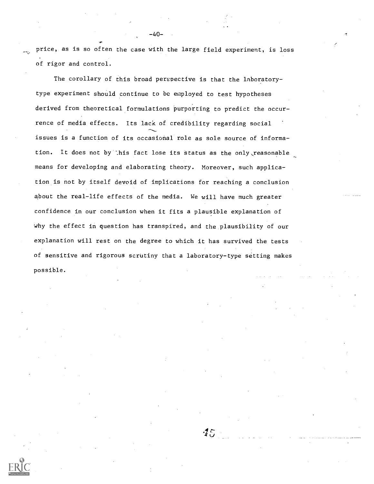price, as is so often the case with the large field experiment, is loss of rigor and control.

 $-40-$ 

The corollary of this broad perspective is that the laboratorytype experiment should continue to be employed to test hypotheses derived from theoretical formulations purporting to predict the occurrence of media effects. Its lack of credibility regarding social issues is a function of its occasional role as sole source of information. It does not by this fact lose its status as the only reasonable means for developing and elaborating theory. Moreover, such application is not by itself devoid of implications for reaching a conclusion about the real-life effects of the media. We will have much greater confidence in our conclusion when it fits a plausible explanation of why the effect in question has transpired, and the plausibility of our explanation will rest on the degree to which it has survived the tests of sensitive and rigorous scrutiny that a laboratory-type setting makes possible.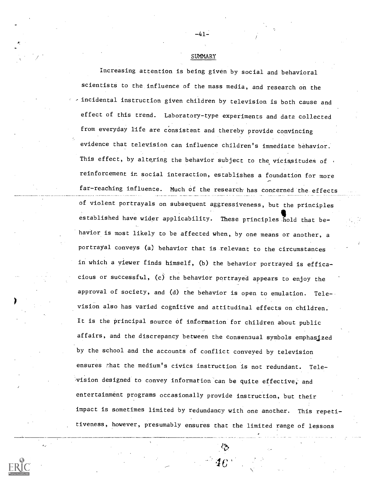SUMMARY

-41-

Increasing attention is being given by social and behavioral scientists to the influence of the mass media, and research on the , incidental instruction given children by television is both cause and effect of this trend. Laboratory-type experiments and data collected from everyday life are consistent and thereby provide convincing evidence that television can influence children's immediate behavior. This effect, by altering the behavior subject to the vicissitudes of reinforcement in social interaction, establishes a foundation for more far-reaching influence. Much of the research has concerned the effects of violent portrayals on subsequent aggressiveness, but the principles established have wider applicability. These principles hold that behavior is most likely to be affected when, by one means or another, a portrayal conveys (a) behavior that is relevant to the circumstances in which a viewer finds himself, (b) the behavior portrayed is efficacious or successful,  $(c)$  the behavior portrayed appears to enjoy the approval of society, and (d) the behavior is open to emulation. Television also has varied cognitive and attitudinal effects on children. It is the principal source of information for children about public affairs, and the discrepancy between the consensual symbols emphasized by the school and the accounts of conflict conveyed by television ensures that the medium's civics instruction is not redundant. Tele--vision designed to convey information can be quite effective, and entertainment programs occasionally provide instruction, but their impact is sometimes limited by redundancy with one another. This repetitiveness, however, presumably ensures that the limited range of lessons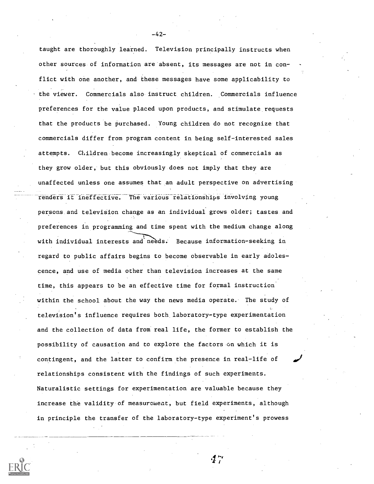taught are thoroughly learned. Television principally instructs when other sources of information are absent, its messages are not in conflict with one another, and these messages have some applicability to the viewer. Commercials also instruct children. Commercials influence preferences for the value placed upon products, and stimulate requests that the products be purchased. Young children do not recognize that commercials differ from program content in being self-interested sales attempts. Children become increasingly skeptical of commercials as they grow older, but this obviously does not imply that they are unaffected unless one assumes that an adult perspective on advertising renders it ineffective. The various relationships involving young persons and television change as an individual grows older; tastes and preferences in programming and time spent with the medium change along with individual interests and needs. Because information-seeking in regard to public affairs begins to become observable in early adolescence, and use of media other than television increases at the same time, this appears to be an effective time for formal instruction within the school about the way the news media operate. The study of television's influence requires both, laboratory-type experimentation and the collection of data from real life, the former to establish the possibility of causation and to explore the factors on which it is contingent, and the latter to confirm the presence in real-life of relationships consistent with the findings of such experiments. Naturalistic settings for experimentation are valuable because they increase the validity of measurcment, but field experiments, although in principle the transfer of the laboratory-type experiment's prowess

-42-

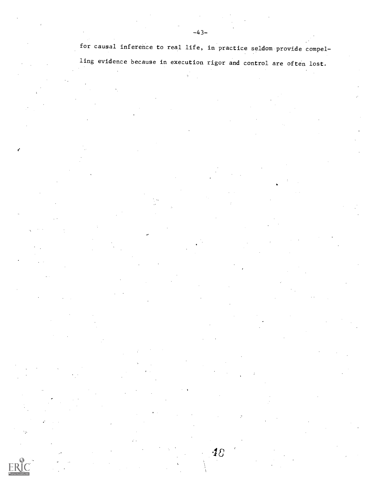for causal inference to real life, in practice seldom provide compel-

ling evidence because in execution rigor and control are often lost.

48

٠.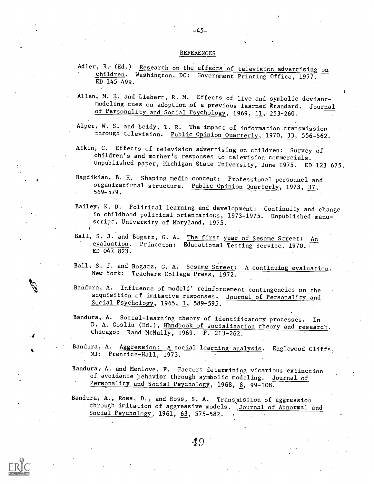#### REFERENCES

-45-

- Adler, R. (Ed.) Research on the effects of television advertising on children. Washington, DC: Government Printing Office, 1977. ED 145 499.
- Allen, M. K. and Liebert, R. M. Effects of live and symbolic deviantmodeling cues on adoption of a previous learned Standard. Journal of Personality and Social Psychology, 1969, 11, 253-260.
- Alper, W. S. and Leidy, T. R. The impact of information transmission through television. Public Opinion Quarterly, 1970, 33, 556-562.
- Atkin, C. Effects of television advertising on children: Survey of children's and mother's responses to television commercials. Unpublished paper, Michigan State University, June 1975. ED 123 675.
- Bagdikian, B. H. Shaping media content: Professional personnel and organizational structure. Public Opinion Quarterly, 1973, 37, 569-579.
- Bailey, K. D. Political learning and development: Continuity and change in childhood political orientatious, 1973-1975. Unpublished manuscript, University of Maryland, 1975.
- Ball, S. J. and Bogatz, G. A. The first year of Sesame Street: An evaluation. Princeton: Educational Testing Service, 1970. ED 047 823.
- Ball, S. J. and Bogatz, G. A. Sesame Street: A continuing evaluation. New York: Teachers College Press, 1972.
- Bandura, A. Influence of models' reinforcement contingencies on the acquisition of imitative responses. Journal of Personality and Social Psychology, 1965,  $1, 589-595$ .
- Bandura, A. Social-learning theory of identificatory processes. In D. A. Goslin (Ed.), Handbook of socialization theory and research. Chicago: Rand McNally, 1969. P. 213-262.
- Bandura, A. Aggression: A social learning analysis. Englewood Cliffs, NJ: Prentice-Hall, 1973.
- Bandura, A. and Menlove, F. Factors determining vicarious extinction of avoidance behavior through symbolic modeling. Journal of Personality and Social Psychology, 1968, 8, 99-108.
- Bandura, A., Ross, D., and Ross, S. A. Transmission of aggression through imitation of aggressive models. Journal of Abnormal and Social Psychology, 1961, 63, 575-582.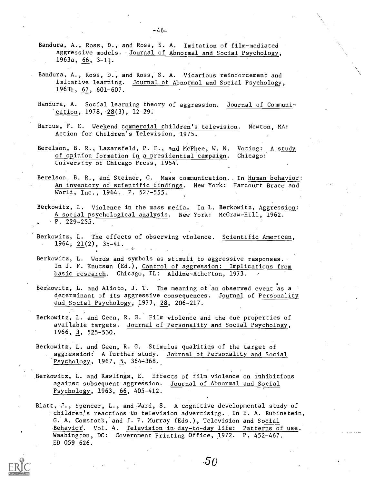- Bandura, A., Ross, D., and Ross, S. A. Imitation of film-mediated aggressive models. Journal of Abnormal and Social Psychology, 1963a, 66, 3-14.
- Bandura, A., Ross, D., and Ross, S. A. Vicarious reinforcement and imitative learning. Journal of Abnormal and Social Psychology, 1963b, 67, 601-607.
- Bandura, A. Social learning theory of aggression. Journal of Communication, 1978, 28(3), 12-29.
- Barcus, F. E. Weekend commercial children's television. Newton, MA: Action for Children's Television, 1975.
- Berelson, B. R., Lazarsfeld, P. F., and McPhee, W. N. Voting: A study of opinion formation in a nresidential campaign. Chicago: University of Chicago Press, 1954.
- Berelson, B. R., and Steiner, G. Mass communication. In Human behavior: An inventory of scientific findings. New York: Harcourt Brace and World, Inc., 1964. P. 527-555.
- Berkowitz, L. Violence in the mass media. In L. Berkowitz, Aggression: A social psychological analysis. New York: McGraw-Hill, 1962. P. 229-255.
- Berkowitz, L. The effects of observing violence. Scientific American, 1964, 21(2), 35-41.
- Berkowitz, L. Words and symbols as stimuli to aggressive responses. In J. F. Knutson (Ed.), Control of aggression: Implications from basic research. Chicago, IL: Aldine-Atherton, 1973.
- Berkowitz, L. and Alioto, J. T. The meaning of an observed event as a determinant of its aggressive consequences. Journal of Personality and Social Psychology, 1973, 28, 206-217.
- Berkowitz, L. and Geen, R. G. Film violence and the cue properties of available targets. Journal of Personality and Social Psychology, 1966, 3, 525-530.
- Berkowitz, L. and Geen, R. G. Stimulus qualities of the target of aggression: A further study. Journal of Personality and Social Psychology, 1967, 5, 364-368.
- Berkowitz, L. and Rawlings, E. Effects of film violence on inhibitions against subsequent aggression. Journal of Abnormal and Social Psychology, 1963, 66, 405-412.

Blatt,  $\cdot\cdot$ , Spencer, L., and Ward, S. A cognitive developmental study of Archildren's reactions to television advertising. In E. A. Rubinstein, G. A. Comstock, and J. P. Murray (Eds.), Television and Social Behavior. Vol. 4. Television in day-to-day life: Patterns of use. Washington, DC: Government Printing Office, 1972. P. 452-467. ED 059 626.

 $-46-$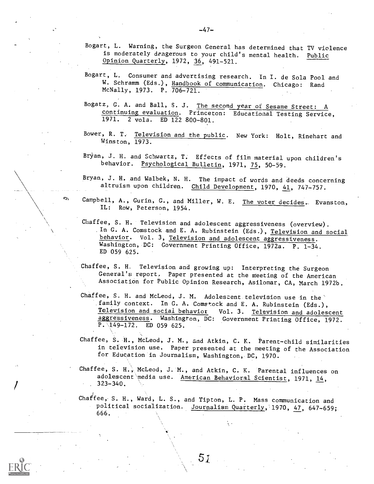- Bogart, L. Warning, the Surgeon General has determined that TV violence is moderately dangerous to your child's mental health. Public Opinion Quarterly, 1972, 36, 491-521.
- Bogart, L. Consumer and advertising research. In I. de Sola Pool and W. Schramm (Eds.), Handbook of communication. Chicago: Rand McNally, 1973. P. 706-721.
- Bogatz, G. A. and Ball, S. J. The second year of Sesame Street: A continuing evaluation. Princeton: Educational Testing Service, 1971. 2 vols. ED 122 800-801.
- Bower, R. T. Television and the public. New York: Holt, Rinehart and Winston, 1973.
- Bryan, J. H. and Schwartz, T. Effects of film material upon children's behavior. Psychological Bulletin, 1971, 75, 50-59.
- Bryan, J. H. and Walbek, N. H. The impact of words and deeds concerning altruism upon children. Child Development, 1970, 41, 747-757.
- Campbell, A., Gurin, G., and Miller, W. E. The voter decides. Evanston, IL: Row, Peterson, 1954.
- Chaffee, S. H. Television and adolescent aggressiveness (overview). In G. A. Comstock and E. A. Rubinstein (Eds.), Television and social behavior. Vol. 3, Television and adolescent aggressiveness. Washington, DC: Government Printing Office, 1972a. P. 1-34. ED 059 625.
- Chaffee, S. H, Television and growing up: Interpreting the Surgeon General's report. Paper presented at the meeting of the American Association for Public Opinion Research, Asilomar, CA, March 1972b.
- Chaffee, S. H. and McLeod, J. M. Adolescent television use in the family context. In G. A. Comstock and E. A. Rubinstein (Eds.), Television and social behavior Vol. 3. Television and adolescent aggressiveness. Washington, DC: Government Printing Office, 1972.  $\overline{P.149-172.}$  ED 059 625.
- Chaffee, S. H., McLeod, J. M., and Atkin, C. K. Parent-child similarities in television use. Paper presented at the meeting of the Association for Education in Journalism, Washington, DC, 1970.
- Chaffee, S. H., McLeod, J. M., and Atkin, C. K. Parental influences on adolescent media use. American Behavioral Scientist, 1971, 14, 323-340.
- Chaffee, S. H., Ward, L. S., and Tipton, L. P. Mass communication and political socialization. Journalism Quarterly, 1970, 47, 647-659; 666.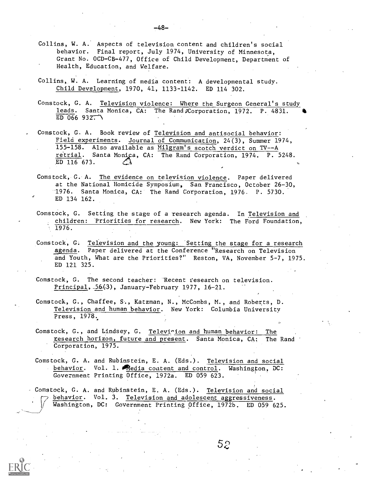- Collins, W. A. Aspects of television content and children's social behavior. Final report, July 1974, University of Minnesota, Grant No. OCD-CB-477, Office of Child Development, Department of Health, Education, and Welfare.
- Collins, W. A. Learning of media content: A developmental study. Child Development, 1970, 41, 1133-1142. ED 114 302.
- Comstock, G. A. Television violence: Where the Surgeon General's study leads. Santa Monica, CA: The Rand Corporation, 1972. P. 4831. ED 066  $932^{-1}$
- Comstock, G. A. Book review of Television and antisocial behavior: Field experiments. Journal of Communication, 24(3), Summer 1974, 155-158. Also available as Milgram's scotch verdict on TV--A retrial. Santa Monica, CA: The Rand Corporation, 1974. P. 5248. ED 116 673.
- Comstock, G. A. The evidence on television violence. Paper delivered at the National Homicide Symposium, San Francisco, October 26-30, -1976. Santa Monica, CA: The Rand Corporation, 1976. P. 5730. ED 134 162.
- Comstock, G. Setting the stage of a research agenda. In Television and children: Priorities for research. New York: The Ford Foundation, 1976.
- Comstock, G. Television and the young: Setting the stage for a research agenda. Paper delivered at the Conference "Research on Television and Youth, What are the Priorities?" Reston, VA, November 5-7, 1975. ED 121 325.
- Comstock, G. The second teacher: Recent research on television. Principal,  $-56(3)$ , January-February 1977, 16-21.
- Comstock, G., Chaffee, S., Katzman, N., McCombs, M., and Roberts, D. Television and human behavior. New York: Columbia University Press, 1978.
- Comstock, G., and Lindsey, G. Television and human behavior: The research horizon, future and present. Santa Monica, CA: The Rand Corporation, 1975.
- Comstock, G. A. and Rubinstein, E. A. (Eds.). Television and social behavior. Vol. 1. Media content and control. Washington, DC: Government Printing Office, 1972a. ED 059 623.

Comstock, G. A. and Rubinstein, E. A. (Eds.). Television and social behavior. Vol. 3. Television and adolescent aggressiveness. Washington, DC: Government Printing Office, 1972b. ED 059 625.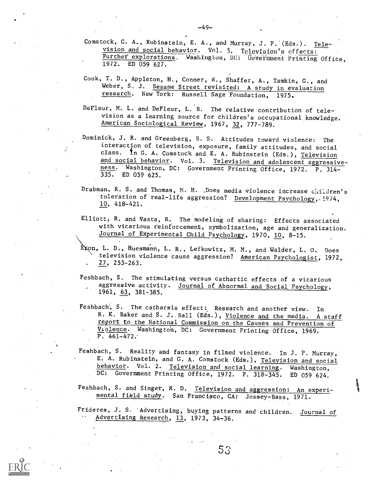- Comstock, G. A., Rubinstein, E. A., and Murray, J. P. (Eds.). Television and social behavior. Vol. 5. Teloviaion's effects: Further explorations. Washington, UU: UUVEFilment Printing Office, 1972. ED 059 627.
- Cook, T. D., Appleton, H., Conner, R., Shaffer, A., Tamkin, G., and Weber, S. J. Sesame Street revisited: A study in evaluation research. New York: Russell Sage Foundation, 1975.
- DeFleur, M. L. and DeFleur, L. B. The relative contribution of television as a learning source for children's occupational knowledge. American Sociological Review, 1967, 32, 777-789.
- Dominick, J. R. and Greenberg, B. S. Attitudes toward violence: The interaction of television, exposure, family attitudes, and social class. In G. A. Comstock and E. A. Rubinstein (Eds.), Television and social behavior. Vol. 3. Television and adolescent aggressiveness. Washington, DC: Government Printing Office, 1972. P. 314- 335. ED 059 625.
- Drabman, R. S. and Thomas, N. H. . Does media violence increase children's toleration of real-life aggression? Development Psychology,-1974, 10, 418-421.
- Elliott, R. and Vasta, R. The modeling of sharing: Effects associated with vicarious reinforcement, symbolization, age and generalization. Journal of Experimental Child Psychology, 1970, 10, 8-15.
- Exon, L. D., Huesmann, L. R., Lefkowitz, M. M., and Walder, L. O. Does television violence cause aggression? American Psychologist, 1972, 27, 253-263.
- Feshbach, S. The stimulating versus cathartic effects of a vicarious aggressive activity. Journal of Abnormal and Social Psychology, 1961, 63, 381-385.
- Feshbach', S. The catharsis effect: Research and another view. In R. K. Baker and S. J. Ball (Eds.), Violence and the media. A staff report to the National Commission on the Causes and Prevention of Violence. Washington, DC: Government Printing Office, 1969. P.  $461-472.$
- Feshbach, S. Reality and fantasy in filmed violence. In J. P. Murray, E. A. Rubinstein, and G. A. Comstock (Eds.), Television and social behavior. Vol. 2. Television and social learning. Washington, DC: Government Printing Office, 1972. P. 318-345. ED 059 624.
- Feshbach, S. and Singer, R. D. Television and aggression: An experimental field study. San Francisco, CA: Jossey-Bass, 1971.
- Frideres, J. S. 'Advertising, buying patterns and children. Journal of Advertising Research, 13, 1973, 34-36.



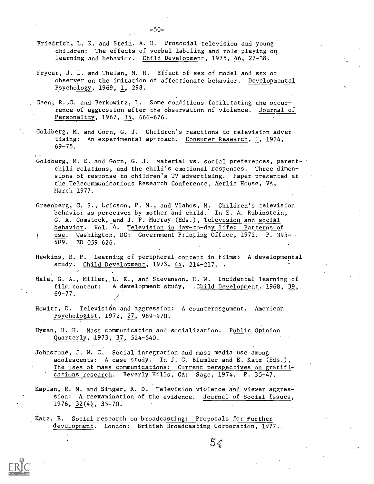- Friedrich, L. K. and Stein, A. H. Prosocial television and young children: The effects of verbal labeling and role playing on learning and behavior. Child Development, 1975, 46, 27-38.
- Fryear, J. L. and Thelan, M. H. Effect of sex of model and sex of observer on the imitation of affectionate behavior. Developmental Psychology, 1969, 1, 298.
- Geen, R.,G. and Berkowitz, L. Some conditions facilitating the occurrence of aggression after the observation of violence. Journal of Personality, 1967, 35, 666-676.
- Goldberg, M. and Gorn, G. J. Children's reactions to television advertising: An experimental aprroach. Consumer Research, 1, 1974, 69-75.
- Goldberg, M. E. and Gorn, G. J. Material vs. social preferences, parentchild relations, and the child's emotional responses. Three dimensions of response to children's TV advertising. Paper presented at the Telecommunications Research Conference, Aerlie House, VA, March 1977.
- Greenberg, G. S., Lricson, P. M., and Vlahos, M. Children's television behavior as perceived by mother and child. In E. A. Rubinstein, G. A. Comstock, and J. P. Murray (Eds.), Television and social behavior. Vol. 4. Television in day-to-day life: Patterns of use. Washington, DC: Government Printing Office, 1972. P. 395-T 409. ED 059 626.
- Hawkins, R. P. Learning of peripheral content in films: A developmental study. Child Development, 1973, 44, 214-217.
- Hale, G. A., Miller, L. K., and Stevenson, H. W. Incidental learning of film content: A development study. Child Development, 1968, 39, 69-77.
- Howitt, D. Televisión and aggression: A counterargument. American Psychologist, 1972, 27, 969-970.
- Hyman, H. H. Mass communication and socialization. Public Opinion Quarterly, 1973, 37, 524-540.
- Johnstone, J. W. C. Social integration and mass media use among adolescents: A case study. In J. G. Blumler and E. Katz (Eds.), The uses of mass communications: Current perspectives on gratifications research. Beverly Hills, CA: Sage, 1974. P. 35-47.

Kaplan, R. M. and Singer, R. D. Television violence and viewer aggression: A reexamination of the evidence. Journal of Social Issues, 1976, 32(4), 35-70.

Katz, E. Social research on broadcasting: Proposals for further development. London: British Broadcasting Corporation, 1977.

 $5<sub>6</sub>$ 

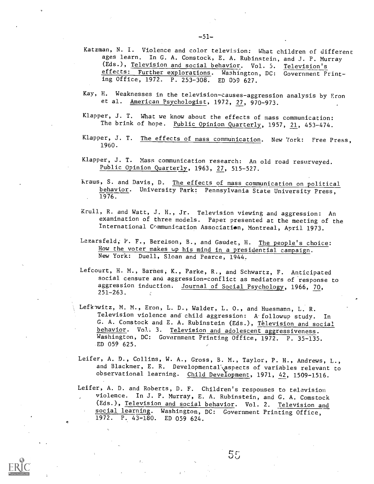- Katzman, N. I. Violence and color television: What children of different ages learn. In G. A. Comstock, E. A. Rubinstein, and J. P. Murray (Eds.), Television and social behavior. Vol. 5. Television's effects: Further explorations. Washington, DC: Government Printing Office, 1972. P. 253-308. ED 059 627.
- Kay, H. Weaknesses in the television-causes-aggression analysis by Eron et al. American Psychologist, 1972, 27, 970-973.
- Klapper, J. T. What we know about the effects of mass communication: The brink of hope. Public Opinion Quarterly, 1957, 21, 453-474.
- Klapper, J. T. The effects of mass communication. New York: Free Press, 1960.
- Klapper, J. T. Mass communication research: An old road resurveyed. Public Opinion Quarterly, 1963, 27, 515-527.
- Kraus, S. and Davis, D. The effects of mass communication on political behavior. University Park: Pennsylvania State University Press, 1976.
- Krull, R. and Watt, J. H., Jr. Television viewing and aggression: An examination of three models. Paper presented at the meeting of the International Communication Association, Montreal, April 1973.
- Lazarsfeld, P. F., Berelson, B., and Gaudet, H. The people's choice: How the voter makes up his mind in a presidential campaign. New York: Duell, Sloan and Pearce, 1944.
- Lefcourt, H. M., Barnes, K., Parke, R., and Schwartz, F. Anticipated social censure and aggression-conflict as mediators of response to aggression induction. Journal of Social Psychology, 1966, 70, 251-263.
- Lefkowitz, M. M., Eron, L. D., Walder, L. O., and Huesmann, L. R. Television violence and child aggression: A followup study. In G. A. Comstock and E. A. Rubinstein (Eds.), Television and social behavior. Vol. 3. Television and adolescent aggressiveness. Washington, DC: Government Printing Office, 1972. P. 35-135. ED 059 625.
- Leifer, A. D., Collins, W. A., Gross, B. M., Taylor, P. H., Andrews, L., and Blackmer, E. R. Developmental aspects of variables relevant to observational learning. Child Development, 1971, 42, 1509-1516.
- Leifer, A. D. and Roberts, D. F. Children's responses to television violence. In J. P. Murray, E. A. Rubinstein, and G. A. Comstock (Eds.), Television and social behavior. Vol. 2. Television and social learning. Washington, DC: Government Printing Office, 1972. P. 43-180. ED 059 624.

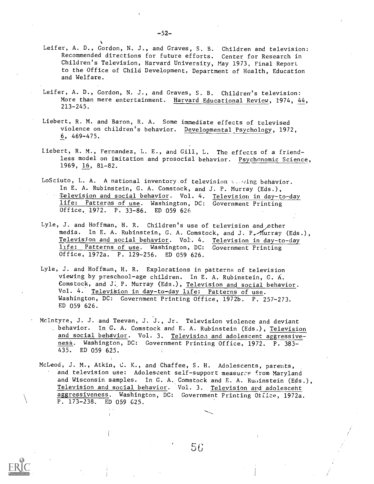- Leifer, A. D., Gordon, N. J., and Graves, S. B. Children and television: Recommended directions for future efforts. Center for Research in Children's Television, Harvard University, May 1973, Final Report to the Office of Child Development, Department of Health, Education and Welfare.
- Leifer, A. D., Gordon, N. J., and Graves, S. B. Children's television: More than mere entertainment. Harvard Educational Review, 1974, 44, 213-245.
- Liebert, R. M. and Baron, R. A. Some immediate effects of televised violence on children's behavior. Developmental Psychology, 1972, 6, 469-475.
- Liebert, R. M., Fernandez, L. E., and Gill, L. The effects of a friendless model on imitation and prosocial behavior. Psychonomic Science, 1969, 16, 81-82.
- LoSciuto, L. A. A national inventory of television verting behavior. In E. A. Rubinstein, G. A. Comstock, and J. P. Murray (Eds.), Television and social behavior. Vol. 4. Television in day-to-day life: Patterns of use. Washington, DC: Government Printing Office, 1972. P. 33-86. ED 059 626
- Lyle, J. and Hoffman, H. R. Children's use of television and other media. In E. A. Rubinstein, G. A. Comstock, and J. P. Murray (Eds.), Television and social behavior. Vol. 4. Television in day-to-day life: Patterns of use. Washington, DC: Government Printing Office, 1972a. P. 129-256. ED 059 626.
- Lyle, J. and Hoffman, H. R. Explorations in patterns of television viewing by preschool-age children. In E. A. Rubinstein, G. A. Comstock, and J., P. Murray (Eds.), Television and social behavior. Vol. 4. Television in day-to-day life: Patterns of use. Washington, DC: Government Printing Office, 1972b. P. 257-273. ED 059 626.
- McIntyre, J. J. and Teevan, J. J., Jr. Television violence and deviant behavior. In O. A. Comstock and E. A. Rubinstein (Eds.), Television and social behavior. Vol. 3. Television and adolescent aggressiveness. Washington, DC: Government Printing Office, 1972. P. 383- 435. ED 059 625.
- McLeod, J. M., Atkin, C. K., and Chaffee, S. H. Adolescents, parents, and television use: Adolescent self-support measures from Maryland and Wisconsin samples. In G. A. Comstock and E. A. Rubinstein (Eds.), Television and social behavior. Vol. 3. Television and adolescent aggressiveness. Washington, DC: Government Printing Office, 1972a. P. 173-238. ED 059 G25.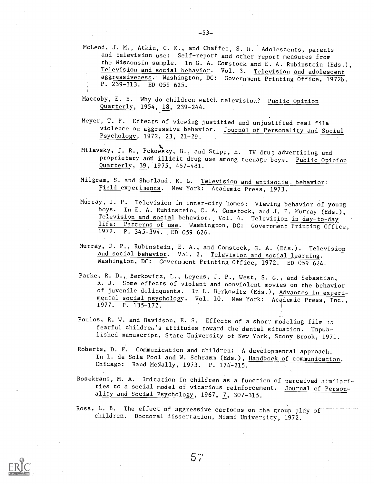- McLeod, J. M., Atkin, C. K., and Chaffee, S. H. Adolescents, parents and television use: Self-report and other report measures from the Wisconsin sample. In G. A. Comstock and E. A. Rubinstein (Eds.), Television and social behavior. Vol. 3. Television and adolescent aggressiveness. Washington, DC: Government Printing Office, 1972b. P. 239-313. ED 059 625.
- Maccoby, E. E. Why do children watch television? Public Opinion Quarterly, 1954, 18, 239-244.
- Meyer, T. P. Effects of viewing justified and unjustified real film violence on aggressive behavior. Journal of Personality and Social Psychology, 1972, 23, 21-29.
- Milavsky, J. R., Pekowsky, B., and Stipp, H. TV drug advertising and proprietary and illicit drug use among teenage boys. Public Opinion Quarterly, 39, 1975, 457-481.
- Milgram, S. and Shotland, R. L. Television and antisocia\_ behavior: Field experiments. New York: Academic Press, 1973.
- Murray, J. P. Television in inner-city homes: Viewing behavior of young boys. In E. A. Rubinstein, G. A. Comstock, and J. P. Murray (Eds.), Television and social behavior. Vol. 4. Television in day-to-day life: Patterns of use. Washington, DC: Government Printing Office, 1972. P. 345-394. ED 059 626.
- Murray, J. P., Rubinstein, E. A., and Comstock, G. A. (Eds.). Television and social behavior. Vol. 2. Television and social learning. Washington, DC: Government Printing Office, 1972. ED 059 624.
- Parke, R. D., Berkowitz, L., Leyens, J. P., West, S. G., and Sebastian, R. J. Some effects of violent and nonviolent movies on the behavior of juvenile delinquents. In L. Berkowitz (Eds.), Advances in experimental social psychology. Vol. 10. New York: Academic Press, Inc., 1977. P. 135-172.
- Poulos, R. W. and Davidson, E. S. Effects of a short modeling film  $\gamma_{3}$ fearful childre.'s attitudes toward the dental situation. Unpublished manuscript, State University of New York, Stony Brook, 1971.
- Roberts, D. F. Communication and children: A developmental approach. In I. de Sola Pool and W. Schramm (Eds.), Handbook of communication. Chicago: Rand McNally, 1973. P. 174-215.
- Rosekrans, M. A. Imitation in children as a function of perceived similarities to a social model of vicarious reinforcement. Journal of Personality and Social Psychology, 1967, 7, 307-315.
- Ross, L. B. The effect of aggressive cartoons on the group play of children. Doctoral dissertation, Miami. University, 1972.



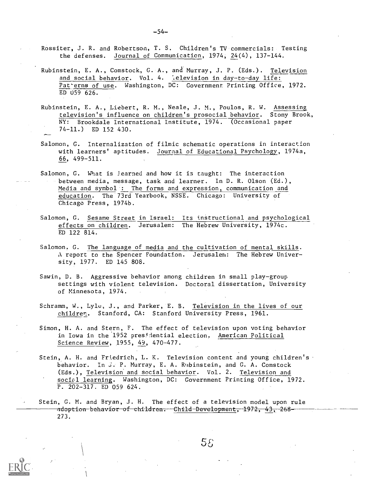Rossiter, J. R. and Robertson, T. S. Children's TV commercials: Testing the defenses. Journal of Communication, 1974, 24(4), 137-144.

- Rubinstein, E. A., Comstock, G. A., and Murray, J. P. (Eds.). Television and social behavior. Vol. 4. lelevision in day-to-day life: Pat-erns of use. Washington, DC: Government Printing Office, 1972. ED 059 626.
- Rubinstein, E. A., Liebert, R. M., Neale, J. M., Poulos, R. W. Assessing\_ television's influence on children's prosocial behavior. Stony Brook, NY: Brookdale International Institute, 1974. (Occasional paper 74-11.) ED 152 430.
- Salomon, G. Internalization of filmic schematic operations in interaction with learners' aptitudes. Journal of Educational Psychology, 1974a, 66, 499-511.
- Salomon, G. What is Jearned and how it is taught: The interaction between media, message, task and learner. In D. R. Olson (Ed.), Media and symbol : The forms and expression, communication and education. The 73rd Yearbook, NSSE. Chicago: University of Chicago Press, 1974b.
- Salomon, G. Sesame Street in Israel: Its instructional and psychological effects on children. Jerusalem: The Hebrew University, 1974c. ED 122 814.
- Salomon. G. The language of media and the cultivation of mental skills. A report to the Spencer Foundation. Jerusalem: The Hebrew University, 1977. ED 145 808.
- Sawin, D. B. Aggressive behavior among children in small play-group settings with violent television. Doctoral dissertation, University of Minnesota, 1974.
- Schramm, W., Lyle, J., and Parker, E. B. Television in the lives of our children. Stanford, CA: Stanford University Press, 1961.
- Simon, H. A. and Stern, F. The effect of television upon voting behavior in Iowa in the 1952 presidential election. American Political Science Review, 1955, 49, 470-477.
- Stein, A. H. and Friedrich, L. K. Television content and young children's behavior. In j. P. Murray, E. A. Rubinstein, and G. A. Comstock (Eds.), Television and social behavior. Vol. 2. Television and social learning. Washington, DC: Government Printing Office, 1972. P. 202-317. ED 059 624.
- Stein, G. M. and Bryan, J. H. The effect of a television model upon rule ado<del>ption be</del>hav<del>ior of children. Child De</del>velopmen<del>t, 1</del>972, 43, 268-273.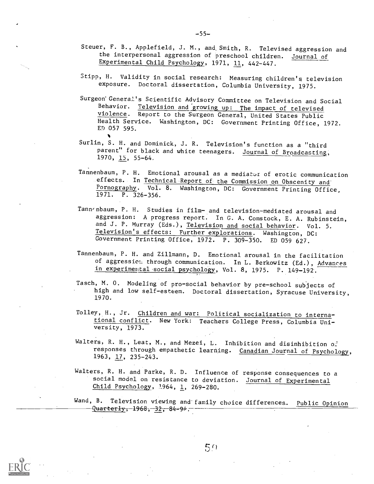- Steuer, F. B., Applefield, J. M., and Smith, R. Televised aggression and the interpersonal aggression of preschool children. Journal of Experimental Child Psychology, 1971, 11, 442-447.
- Stipp, H. Validity in social research: Measuring children's television exposure. Doctoral dissertation, Columbia University, 1975.
- Surgeon General's Scientific Advisory Committee on Television and Social Behavior. Television and growing up: The impact of televised violence. Report to the Surgeon General, United States Public Health Service. Washington, DC: Government Printing Office, 1972. ED 057 595.  $\bullet$
- Surlin, S. H. and Dominick, J. R. Television's function as a "third parent" for black and white teenagers. Journal of Broadcasting, 1970, 15, 55-64.
- Tannenbaum, P. H. Emotional arousal as a mediat-or of erotic communication effects. In Technical Report of the Commission on Obscenity and Pornography. Vol. 8. Washington, DC: Government Printing Office, 1971. P. 326-356.
- Tannenbaum, P. H. Studies in film- and television-mediated arousal and aggression: A progress report. In G. A. Comstock, E. A. Rubinstein, and J. P. Murray (Eds.), Television and social behavior. Vol. 5. Television's effects: Further explorations. Washington, DC: Government Printing Office, 1972. P. 309-350. ED 059 627.
- Tannenbaum, P. H. and Zillmann, D. Emotional arousal in the facilitation of aggression through communication. In L. Berkowitz (Ed.), Advances in experimental social psychology, Vol. 8, 1975. P. 149-192.
- Tasch, M. 0. Modeling of pro-social behavior by pre-school subjects of high and low self-esteem. Doctoral dissertation, Syracuse University, 1970.
- Tolley, H., Jr. Children and war: Political socialization to international conflict. New York: Teachers College Press, Columbia University, 1973.
- Walters, R. H., Leat, M., and Mezei, L. Inhibition and disinhibition of responses through empathetic learning. Canadian Journal of Psychology, 1963, 17, 235-243.
- Walters, R. H. and Parke, R. D. Influence of response consequences to <sup>a</sup> social model on resistance to deviation. Journal of Experimental Child Psychology, 1964, 1, 269-280.
- Wand, B. Television viewing and family choice differences. Public Opinion  $-q$ uarterly, 1968, 32, 84-94,

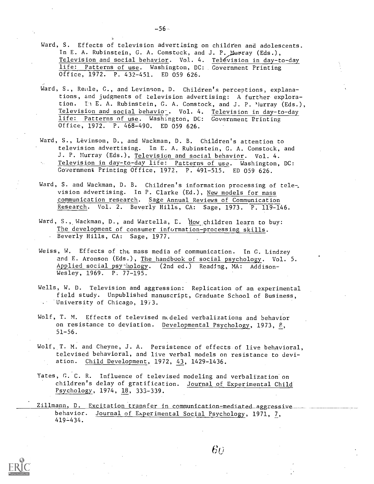- Ward, S. Effects of television advertising on children and adolescents. In E. A. Rubinstein, G. A. Comstock, and J. P. Murray (Eds.), Television and social behavior. Vol. 4. Television in day-to-day life: Patterns of use. Washington, DC: Government Printing Office, 1972. P. 432-451. ED 059 626.
- Ward, S., Reale, G., and Levinson, D. Children's perceptions, explanations, and judgments of television advertising: A further exploration. In E. A. Rubinstein, G. A. Comstock, and J. P. Murray (Eds.), Television and social behavio<sub>-</sub>. Vol. 4. Television in day-to-day life: Patterns of use. Washington, DC: Government Printing Office, 1972. P. 468-490. ED 059 626.
- Ward, S., Levinson, D., and Wackman, D. B. Children's attention to television advertising. In E. A. Rubinstein, G. A. Comstock, and J. P. Murray (Eds.), Television and social behavior. Vol. 4. Television in day-to-day life: Patterns of use. Washington, DC: Government Printing Office, 1972. P. 491-515. ED 059 626.
- Ward, S. and Wackman, D. B. Children's information processing of tele-, vision advertising. In P. Clarke (Ed.), New models for mass communication research. Sage Annual Reviews of Communication Research. Vol. 2. Beverly Hills, CA: Sage, 1973. P. 119-146.
- Ward, S., Wackman, D., and Wartella, E. How children learn to buy: The development of consumer information-processing skills. Beverly Hills, CA: Sage, 1977.
- Weiss, W. Effects of the mass media of communication. In G. Lindzey and E. Aronson (Eds.), The handbook of social psychology. Vol. 5. Applied social psynhology. (2nd ed.) Reading, MA: Addison-Wesley, 1969. P. 77-195.
- Wells, W. D. Television and aggression: Replication of an experimental field study. Unpublished manuscript, Graduate School of Business, University of Chicago, 1973.
- Wolf, T. M. Effects of televised modeled verbalizations and behavior on resistance to deviation. Developmental Psychology, 1973, 8, 51-56.
- Wolf, T. M. and Cheyne, J. A. Persistence of effects of live behavioral, televised behavioral, and live verbal models on resistance to deviation. Child Development, 1972, 43, 1429-1436.
- Yates, G. C. R. Influence of televised modeling and verbalization on children's delay of gratification. Journal of Experimental Child Psychology, 1974, 18, 333-339.

Zillmann, D. Excitation transfer in communication-mediated aggressive behavior. Journal of Experimental Social Psychology, 1971, 7, 419 -434.



 $\epsilon_{\scriptscriptstyle U}$